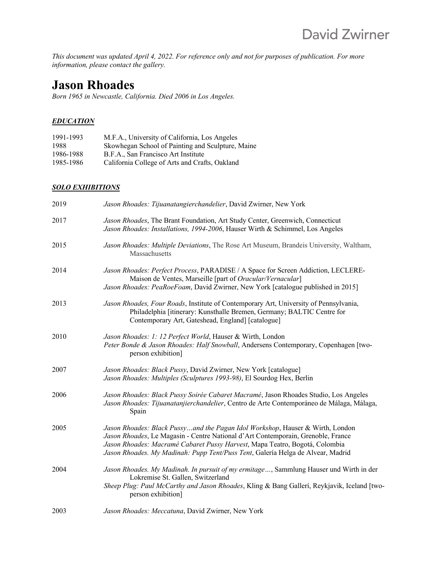*This document was updated April 4, 2022. For reference only and not for purposes of publication. For more information, please contact the gallery.*

# **Jason Rhoades**

*Born 1965 in Newcastle, California. Died 2006 in Los Angeles.*

#### *EDUCATION*

| 1991-1993 | M.F.A., University of California, Los Angeles     |
|-----------|---------------------------------------------------|
| 1988      | Skowhegan School of Painting and Sculpture, Maine |
| 1986-1988 | B.F.A., San Francisco Art Institute               |
| 1985-1986 | California College of Arts and Crafts, Oakland    |

#### *SOLO EXHIBITIONS*

| 2019 | Jason Rhoades: Tijuanatangierchandelier, David Zwirner, New York                                                                                                                                                                                                                                                                    |
|------|-------------------------------------------------------------------------------------------------------------------------------------------------------------------------------------------------------------------------------------------------------------------------------------------------------------------------------------|
| 2017 | Jason Rhoades, The Brant Foundation, Art Study Center, Greenwich, Connecticut<br>Jason Rhoades: Installations, 1994-2006, Hauser Wirth & Schimmel, Los Angeles                                                                                                                                                                      |
| 2015 | Jason Rhoades: Multiple Deviations, The Rose Art Museum, Brandeis University, Waltham,<br>Massachusetts                                                                                                                                                                                                                             |
| 2014 | Jason Rhoades: Perfect Process, PARADISE / A Space for Screen Addiction, LECLERE-<br>Maison de Ventes, Marseille [part of Oracular/Vernacular]<br>Jason Rhoades: PeaRoeFoam, David Zwirner, New York [catalogue published in 2015]                                                                                                  |
| 2013 | Jason Rhoades, Four Roads, Institute of Contemporary Art, University of Pennsylvania,<br>Philadelphia [itinerary: Kunsthalle Bremen, Germany; BALTIC Centre for<br>Contemporary Art, Gateshead, England] [catalogue]                                                                                                                |
| 2010 | Jason Rhoades: 1: 12 Perfect World, Hauser & Wirth, London<br>Peter Bonde & Jason Rhoades: Half Snowball, Andersens Contemporary, Copenhagen [two-<br>person exhibition]                                                                                                                                                            |
| 2007 | Jason Rhoades: Black Pussy, David Zwirner, New York [catalogue]<br>Jason Rhoades: Multiples (Sculptures 1993-98), El Sourdog Hex, Berlin                                                                                                                                                                                            |
| 2006 | Jason Rhoades: Black Pussy Soirée Cabaret Macramé, Jason Rhoades Studio, Los Angeles<br>Jason Rhoades: Tijuanatanjierchandelier, Centro de Arte Contemporáneo de Málaga, Málaga,<br>Spain                                                                                                                                           |
| 2005 | Jason Rhoades: Black Pussyand the Pagan Idol Workshop, Hauser & Wirth, London<br>Jason Rhoades, Le Magasin - Centre National d'Art Contemporain, Grenoble, France<br>Jason Rhoades: Macramé Cabaret Pussy Harvest, Mapa Teatro, Bogotá, Colombia<br>Jason Rhoades. My Madinah: Pupp Tent/Puss Tent, Galería Helga de Alvear, Madrid |
| 2004 | Jason Rhoades. My Madinah. In pursuit of my ermitage, Sammlung Hauser und Wirth in der<br>Lokremise St. Gallen, Switzerland<br>Sheep Plug: Paul McCarthy and Jason Rhoades, Kling & Bang Gallerí, Reykjavik, Iceland [two-<br>person exhibition]                                                                                    |
| 2003 | Jason Rhoades: Meccatuna, David Zwirner, New York                                                                                                                                                                                                                                                                                   |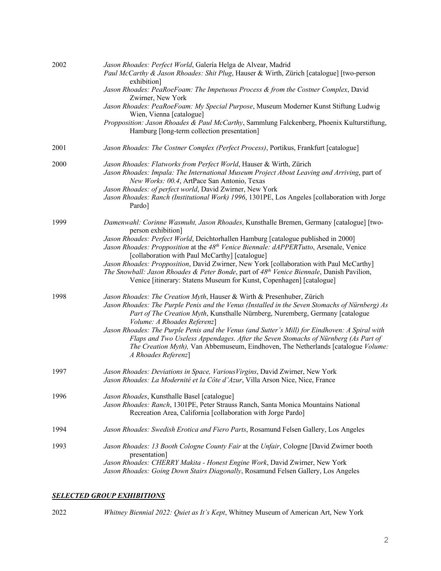| 2002 | Jason Rhoades: Perfect World, Galería Helga de Alvear, Madrid<br>Paul McCarthy & Jason Rhoades: Shit Plug, Hauser & Wirth, Zürich [catalogue] [two-person<br>exhibition]<br>Jason Rhoades: PeaRoeFoam: The Impetuous Process & from the Costner Complex, David<br>Zwirner, New York<br>Jason Rhoades: PeaRoeFoam: My Special Purpose, Museum Moderner Kunst Stiftung Ludwig<br>Wien, Vienna [catalogue]<br>Propposition: Jason Rhoades & Paul McCarthy, Sammlung Falckenberg, Phoenix Kulturstiftung,<br>Hamburg [long-term collection presentation]                                                                                    |
|------|-----------------------------------------------------------------------------------------------------------------------------------------------------------------------------------------------------------------------------------------------------------------------------------------------------------------------------------------------------------------------------------------------------------------------------------------------------------------------------------------------------------------------------------------------------------------------------------------------------------------------------------------|
| 2001 | Jason Rhoades: The Costner Complex (Perfect Process), Portikus, Frankfurt [catalogue]                                                                                                                                                                                                                                                                                                                                                                                                                                                                                                                                                   |
| 2000 | Jason Rhoades: Flatworks from Perfect World, Hauser & Wirth, Zürich<br>Jason Rhoades: Impala: The International Museum Project About Leaving and Arriving, part of<br>New Works: 00.4, ArtPace San Antonio, Texas<br>Jason Rhoades: of perfect world, David Zwirner, New York<br>Jason Rhoades: Ranch (Institutional Work) 1996, 1301PE, Los Angeles [collaboration with Jorge<br>Pardo]                                                                                                                                                                                                                                                |
| 1999 | Damenwahl: Corinne Wasmuht, Jason Rhoades, Kunsthalle Bremen, Germany [catalogue] [two-<br>person exhibition]<br>Jason Rhoades: Perfect World, Deichtorhallen Hamburg [catalogue published in 2000]<br>Jason Rhoades: Propposition at the 48 <sup>th</sup> Venice Biennale: dAPPERTutto, Arsenale, Venice<br>[collaboration with Paul McCarthy] [catalogue]<br>Jason Rhoades: Propposition, David Zwirner, New York [collaboration with Paul McCarthy]<br>The Snowball: Jason Rhoades & Peter Bonde, part of 48 <sup>th</sup> Venice Biennale, Danish Pavilion,<br>Venice [itinerary: Statens Museum for Kunst, Copenhagen] [catalogue] |
| 1998 | Jason Rhoades: The Creation Myth, Hauser & Wirth & Presenhuber, Zürich<br>Jason Rhoades: The Purple Penis and the Venus (Installed in the Seven Stomachs of Nürnberg) As<br>Part of The Creation Myth, Kunsthalle Nürnberg, Nuremberg, Germany [catalogue<br>Volume: A Rhoades Referenz]<br>Jason Rhoades: The Purple Penis and the Venus (and Sutter's Mill) for Eindhoven: A Spiral with<br>Flaps and Two Useless Appendages. After the Seven Stomachs of Nürnberg (As Part of<br>The Creation Myth), Van Abbemuseum, Eindhoven, The Netherlands [catalogue Volume:<br>A Rhoades Referenz]                                            |
| 1997 | Jason Rhoades: Deviations in Space, VariousVirgins, David Zwirner, New York<br>Jason Rhoades: La Modernité et la Côte d'Azur, Villa Arson Nice, Nice, France                                                                                                                                                                                                                                                                                                                                                                                                                                                                            |
| 1996 | Jason Rhoades, Kunsthalle Basel [catalogue]<br>Jason Rhoades: Ranch, 1301PE, Peter Strauss Ranch, Santa Monica Mountains National<br>Recreation Area, California [collaboration with Jorge Pardo]                                                                                                                                                                                                                                                                                                                                                                                                                                       |
| 1994 | Jason Rhoades: Swedish Erotica and Fiero Parts, Rosamund Felsen Gallery, Los Angeles                                                                                                                                                                                                                                                                                                                                                                                                                                                                                                                                                    |
| 1993 | Jason Rhoades: 13 Booth Cologne County Fair at the Unfair, Cologne [David Zwirner booth<br>presentation]<br>Jason Rhoades: CHERRY Makita - Honest Engine Work, David Zwirner, New York<br>Jason Rhoades: Going Down Stairs Diagonally, Rosamund Felsen Gallery, Los Angeles                                                                                                                                                                                                                                                                                                                                                             |

### *SELECTED GROUP EXHIBITIONS*

2022 *Whitney Biennial 2022: Quiet as It's Kept*, Whitney Museum of American Art, New York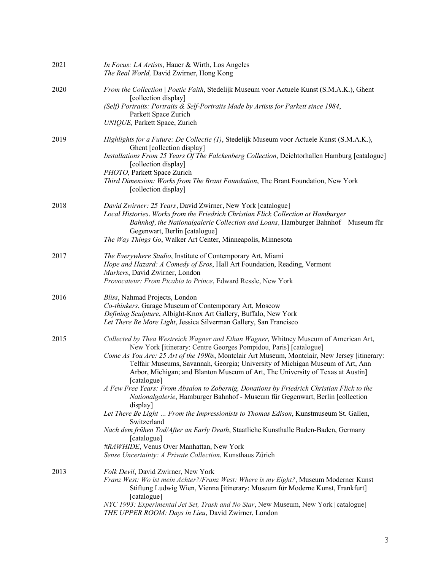| 2021 | In Focus: LA Artists, Hauer & Wirth, Los Angeles<br>The Real World, David Zwirner, Hong Kong                                                                                                                                                                                                                                                                                                                                                                                                                                                                                                                                                                                                                                                                                                                                                                                                                                                                  |
|------|---------------------------------------------------------------------------------------------------------------------------------------------------------------------------------------------------------------------------------------------------------------------------------------------------------------------------------------------------------------------------------------------------------------------------------------------------------------------------------------------------------------------------------------------------------------------------------------------------------------------------------------------------------------------------------------------------------------------------------------------------------------------------------------------------------------------------------------------------------------------------------------------------------------------------------------------------------------|
| 2020 | From the Collection   Poetic Faith, Stedelijk Museum voor Actuele Kunst (S.M.A.K.), Ghent<br>[collection display]<br>(Self) Portraits: Portraits & Self-Portraits Made by Artists for Parkett since 1984,<br>Parkett Space Zurich<br>UNIQUE, Parkett Space, Zurich                                                                                                                                                                                                                                                                                                                                                                                                                                                                                                                                                                                                                                                                                            |
| 2019 | Highlights for a Future: De Collectie (1), Stedelijk Museum voor Actuele Kunst (S.M.A.K.),<br>Ghent [collection display]<br>Installations From 25 Years Of The Falckenberg Collection, Deichtorhallen Hamburg [catalogue]<br>[collection display]<br>PHOTO, Parkett Space Zurich<br>Third Dimension: Works from The Brant Foundation, The Brant Foundation, New York<br>[collection display]                                                                                                                                                                                                                                                                                                                                                                                                                                                                                                                                                                  |
| 2018 | David Zwirner: 25 Years, David Zwirner, New York [catalogue]<br>Local Histories. Works from the Friedrich Christian Flick Collection at Hamburger<br>Bahnhof, the Nationalgalerie Collection and Loans, Hamburger Bahnhof - Museum für<br>Gegenwart, Berlin [catalogue]<br>The Way Things Go, Walker Art Center, Minneapolis, Minnesota                                                                                                                                                                                                                                                                                                                                                                                                                                                                                                                                                                                                                       |
| 2017 | The Everywhere Studio, Institute of Contemporary Art, Miami<br>Hope and Hazard: A Comedy of Eros, Hall Art Foundation, Reading, Vermont<br>Markers, David Zwirner, London<br>Provocateur: From Picabia to Prince, Edward Ressle, New York                                                                                                                                                                                                                                                                                                                                                                                                                                                                                                                                                                                                                                                                                                                     |
| 2016 | Bliss, Nahmad Projects, London<br>Co-thinkers, Garage Museum of Contemporary Art, Moscow<br>Defining Sculpture, Albight-Knox Art Gallery, Buffalo, New York<br>Let There Be More Light, Jessica Silverman Gallery, San Francisco                                                                                                                                                                                                                                                                                                                                                                                                                                                                                                                                                                                                                                                                                                                              |
| 2015 | Collected by Thea Westreich Wagner and Ethan Wagner, Whitney Museum of American Art,<br>New York [itinerary: Centre Georges Pompidou, Paris] [catalogue]<br>Come As You Are: 25 Art of the 1990s, Montclair Art Museum, Montclair, New Jersey [itinerary:<br>Telfair Museums, Savannah, Georgia; University of Michigan Museum of Art, Ann<br>Arbor, Michigan; and Blanton Museum of Art, The University of Texas at Austin]<br>[catalogue]<br>A Few Free Years: From Absalon to Zobernig, Donations by Friedrich Christian Flick to the<br>Nationalgalerie, Hamburger Bahnhof - Museum für Gegenwart, Berlin [collection<br>display]<br>Let There Be Light  From the Impressionists to Thomas Edison, Kunstmuseum St. Gallen,<br>Switzerland<br>Nach dem frühen Tod/After an Early Death, Staatliche Kunsthalle Baden-Baden, Germany<br>[catalogue]<br>#RAWHIDE, Venus Over Manhattan, New York<br>Sense Uncertainty: A Private Collection, Kunsthaus Zürich |
| 2013 | Folk Devil, David Zwirner, New York<br>Franz West: Wo ist mein Achter?/Franz West: Where is my Eight?, Museum Moderner Kunst<br>Stiftung Ludwig Wien, Vienna [itinerary: Museum für Moderne Kunst, Frankfurt]<br>[catalogue]<br>NYC 1993: Experimental Jet Set, Trash and No Star, New Museum, New York [catalogue]<br>THE UPPER ROOM: Days in Lieu, David Zwirner, London                                                                                                                                                                                                                                                                                                                                                                                                                                                                                                                                                                                    |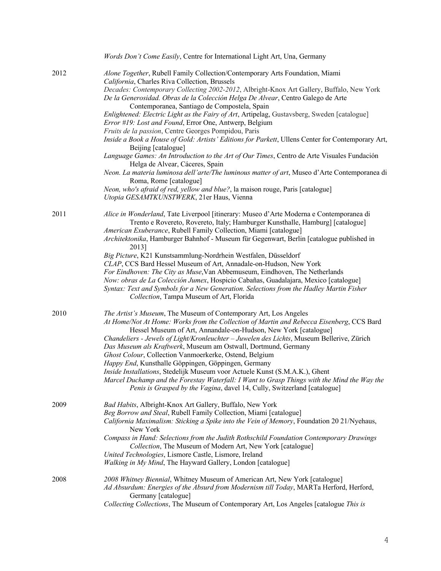|      | Words Don't Come Easily, Centre for International Light Art, Una, Germany                                                                                                                                                                                                                                                                                                                                                                                                                                                                                                                                                                                                                                                                                                 |
|------|---------------------------------------------------------------------------------------------------------------------------------------------------------------------------------------------------------------------------------------------------------------------------------------------------------------------------------------------------------------------------------------------------------------------------------------------------------------------------------------------------------------------------------------------------------------------------------------------------------------------------------------------------------------------------------------------------------------------------------------------------------------------------|
| 2012 | Alone Together, Rubell Family Collection/Contemporary Arts Foundation, Miami<br>California, Charles Riva Collection, Brussels<br>Decades: Contemporary Collecting 2002-2012, Albright-Knox Art Gallery, Buffalo, New York<br>De la Generosidad. Obras de la Colección Helga De Alvear, Centro Galego de Arte<br>Contemporanea, Santiago de Compostela, Spain<br>Enlightened: Electric Light as the Fairy of Art, Artipelag, Gustavsberg, Sweden [catalogue]<br>Error #19: Lost and Found, Error One, Antwerp, Belgium                                                                                                                                                                                                                                                     |
|      | Fruits de la passion, Centre Georges Pompidou, Paris<br>Inside a Book a House of Gold: Artists' Editions for Parkett, Ullens Center for Contemporary Art,<br>Beijing [catalogue]                                                                                                                                                                                                                                                                                                                                                                                                                                                                                                                                                                                          |
|      | Language Games: An Introduction to the Art of Our Times, Centro de Arte Visuales Fundación<br>Helga de Alvear, Cáceres, Spain                                                                                                                                                                                                                                                                                                                                                                                                                                                                                                                                                                                                                                             |
|      | Neon. La materia luminosa dell'arte/The luminous matter of art, Museo d'Arte Contemporanea di<br>Roma, Rome [catalogue]<br>Neon, who's afraid of red, yellow and blue?, la maison rouge, Paris [catalogue]                                                                                                                                                                                                                                                                                                                                                                                                                                                                                                                                                                |
|      | Utopia GESAMTKUNSTWERK, 21er Haus, Vienna                                                                                                                                                                                                                                                                                                                                                                                                                                                                                                                                                                                                                                                                                                                                 |
| 2011 | Alice in Wonderland, Tate Liverpool [itinerary: Museo d'Arte Moderna e Contemporanea di<br>Trento e Rovereto, Rovereto, Italy; Hamburger Kunsthalle, Hamburg] [catalogue]<br>American Exuberance, Rubell Family Collection, Miami [catalogue]<br>Architektonika, Hamburger Bahnhof - Museum für Gegenwart, Berlin [catalogue published in<br>2013]                                                                                                                                                                                                                                                                                                                                                                                                                        |
|      | Big Picture, K21 Kunstsammlung-Nordrhein Westfalen, Düsseldorf<br>CLAP, CCS Bard Hessel Museum of Art, Annadale-on-Hudson, New York<br>For Eindhoven: The City as Muse, Van Abbemuseum, Eindhoven, The Netherlands<br>Now: obras de La Colección Jumex, Hospicio Cabañas, Guadalajara, Mexico [catalogue]<br>Syntax: Text and Symbols for a New Generation. Selections from the Hadley Martin Fisher<br>Collection, Tampa Museum of Art, Florida                                                                                                                                                                                                                                                                                                                          |
| 2010 | The Artist's Museum, The Museum of Contemporary Art, Los Angeles<br>At Home/Not At Home: Works from the Collection of Martin and Rebecca Eisenberg, CCS Bard<br>Hessel Museum of Art, Annandale-on-Hudson, New York [catalogue]<br>Chandeliers - Jewels of Light/Kronleuchter - Juwelen des Lichts, Museum Bellerive, Zürich<br>Das Museum als Kraftwerk, Museum am Ostwall, Dortmund, Germany<br>Ghost Colour, Collection Vanmoerkerke, Ostend, Belgium<br>Happy End, Kunsthalle Göppingen, Göppingen, Germany<br>Inside Installations, Stedelijk Museum voor Actuele Kunst (S.M.A.K.), Ghent<br>Marcel Duchamp and the Forestay Waterfall: I Want to Grasp Things with the Mind the Way the<br>Penis is Grasped by the Vagina, davel 14, Cully, Switzerland [catalogue] |
| 2009 | Bad Habits, Albright-Knox Art Gallery, Buffalo, New York<br>Beg Borrow and Steal, Rubell Family Collection, Miami [catalogue]<br>California Maximalism: Sticking a Spike into the Vein of Memory, Foundation 20 21/Nyehaus,<br>New York<br>Compass in Hand: Selections from the Judith Rothschild Foundation Contemporary Drawings<br>Collection, The Museum of Modern Art, New York [catalogue]<br>United Technologies, Lismore Castle, Lismore, Ireland<br>Walking in My Mind, The Hayward Gallery, London [catalogue]                                                                                                                                                                                                                                                  |
| 2008 | 2008 Whitney Biennial, Whitney Museum of American Art, New York [catalogue]<br>Ad Absurdum: Energies of the Absurd from Modernism till Today, MARTa Herford, Herford,<br>Germany [catalogue]<br>Collecting Collections, The Museum of Contemporary Art, Los Angeles [catalogue This is                                                                                                                                                                                                                                                                                                                                                                                                                                                                                    |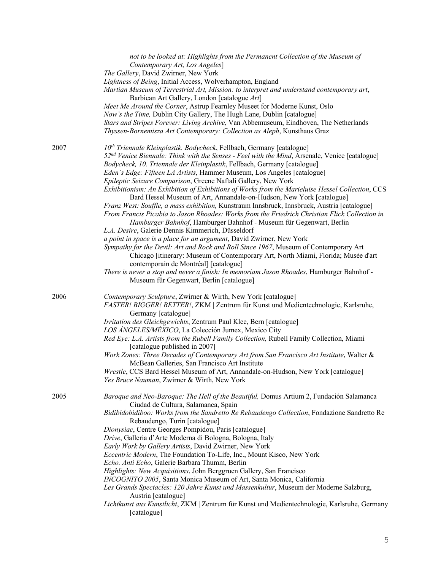|      | not to be looked at: Highlights from the Permanent Collection of the Museum of<br>Contemporary Art, Los Angeles]<br>The Gallery, David Zwirner, New York<br>Lightness of Being, Initial Access, Wolverhampton, England<br>Martian Museum of Terrestrial Art, Mission: to interpret and understand contemporary art,<br>Barbican Art Gallery, London [catalogue Art]<br>Meet Me Around the Corner, Astrup Fearnley Museet for Moderne Kunst, Oslo<br>Now's the Time, Dublin City Gallery, The Hugh Lane, Dublin [catalogue]<br>Stars and Stripes Forever: Living Archive, Van Abbemuseum, Eindhoven, The Netherlands<br>Thyssen-Bornemisza Art Contemporary: Collection as Aleph, Kunsthaus Graz                                                                                                                                                                                                                                                                                                                                                                                                                                                                                                                                                                                                                                                                       |
|------|-----------------------------------------------------------------------------------------------------------------------------------------------------------------------------------------------------------------------------------------------------------------------------------------------------------------------------------------------------------------------------------------------------------------------------------------------------------------------------------------------------------------------------------------------------------------------------------------------------------------------------------------------------------------------------------------------------------------------------------------------------------------------------------------------------------------------------------------------------------------------------------------------------------------------------------------------------------------------------------------------------------------------------------------------------------------------------------------------------------------------------------------------------------------------------------------------------------------------------------------------------------------------------------------------------------------------------------------------------------------------|
| 2007 | 10 <sup>th</sup> Triennale Kleinplastik. Bodycheck, Fellbach, Germany [catalogue]<br>52 <sup>nd</sup> Venice Biennale: Think with the Senses - Feel with the Mind, Arsenale, Venice [catalogue]<br>Bodycheck, 10. Triennale der Kleinplastik, Fellbach, Germany [catalogue]<br>Eden's Edge: Fifteen LA Artists, Hammer Museum, Los Angeles [catalogue]<br>Epileptic Seizure Comparison, Greene Naftali Gallery, New York<br>Exhibitionism: An Exhibition of Exhibitions of Works from the Marieluise Hessel Collection, CCS<br>Bard Hessel Museum of Art, Annandale-on-Hudson, New York [catalogue]<br>Franz West: Souffle, a mass exhibition, Kunstraum Innsbruck, Innsbruck, Austria [catalogue]<br>From Francis Picabia to Jason Rhoades: Works from the Friedrich Christian Flick Collection in<br>Hamburger Bahnhof, Hamburger Bahnhof - Museum für Gegenwart, Berlin<br>L.A. Desire, Galerie Dennis Kimmerich, Düsseldorf<br>a point in space is a place for an argument, David Zwirner, New York<br>Sympathy for the Devil: Art and Rock and Roll Since 1967, Museum of Contemporary Art<br>Chicago [itinerary: Museum of Contemporary Art, North Miami, Florida; Musée d'art<br>contemporain de Montréal] [catalogue]<br>There is never a stop and never a finish: In memoriam Jason Rhoades, Hamburger Bahnhof -<br>Museum für Gegenwart, Berlin [catalogue] |
| 2006 | Contemporary Sculpture, Zwirner & Wirth, New York [catalogue]<br>FASTER! BIGGER! BETTER!, ZKM   Zentrum für Kunst und Medientechnologie, Karlsruhe,<br>Germany [catalogue]<br>Irritation des Gleichgewichts, Zentrum Paul Klee, Bern [catalogue]<br>LOS ÁNGELES/MÉXICO, La Colección Jumex, Mexico City<br>Red Eye: L.A. Artists from the Rubell Family Collection, Rubell Family Collection, Miami<br>[catalogue published in 2007]<br>Work Zones: Three Decades of Contemporary Art from San Francisco Art Institute, Walter &<br>McBean Galleries, San Francisco Art Institute<br>Wrestle, CCS Bard Hessel Museum of Art, Annandale-on-Hudson, New York [catalogue]<br>Yes Bruce Nauman, Zwirner & Wirth, New York                                                                                                                                                                                                                                                                                                                                                                                                                                                                                                                                                                                                                                                 |
| 2005 | Baroque and Neo-Baroque: The Hell of the Beautiful, Domus Artium 2, Fundación Salamanca<br>Ciudad de Cultura, Salamanca, Spain<br>Bidibidobidiboo: Works from the Sandretto Re Rebaudengo Collection, Fondazione Sandretto Re<br>Rebaudengo, Turin [catalogue]<br>Dionysiac, Centre Georges Pompidou, Paris [catalogue]<br>Drive, Galleria d'Arte Moderna di Bologna, Bologna, Italy<br>Early Work by Gallery Artists, David Zwirner, New York<br>Eccentric Modern, The Foundation To-Life, Inc., Mount Kisco, New York<br>Echo. Anti Echo, Galerie Barbara Thumm, Berlin<br>Highlights: New Acquisitions, John Berggruen Gallery, San Francisco<br>INCOGNITO 2005, Santa Monica Museum of Art, Santa Monica, California<br>Les Grands Spectacles: 120 Jahre Kunst und Massenkultur, Museum der Moderne Salzburg,<br>Austria [catalogue]<br>Lichtkunst aus Kunstlicht, ZKM   Zentrum für Kunst und Medientechnologie, Karlsruhe, Germany<br>[catalogue]                                                                                                                                                                                                                                                                                                                                                                                                               |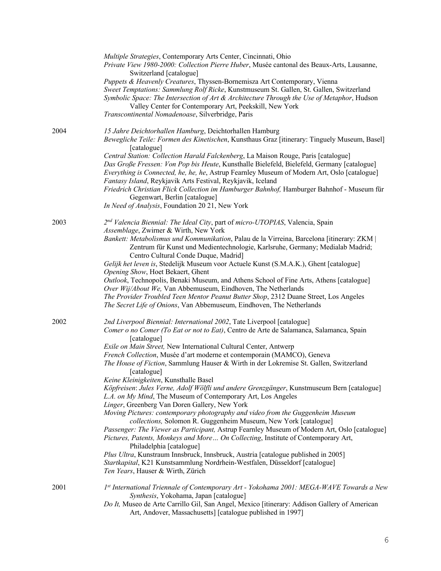|      | Multiple Strategies, Contemporary Arts Center, Cincinnati, Ohio<br>Private View 1980-2000: Collection Pierre Huber, Musée cantonal des Beaux-Arts, Lausanne,<br>Switzerland [catalogue]<br>Puppets & Heavenly Creatures, Thyssen-Bornemisza Art Contemporary, Vienna<br>Sweet Temptations: Sammlung Rolf Ricke, Kunstmuseum St. Gallen, St. Gallen, Switzerland<br>Symbolic Space: The Intersection of Art & Architecture Through the Use of Metaphor, Hudson<br>Valley Center for Contemporary Art, Peekskill, New York<br>Transcontinental Nomadenoase, Silverbridge, Paris |
|------|-------------------------------------------------------------------------------------------------------------------------------------------------------------------------------------------------------------------------------------------------------------------------------------------------------------------------------------------------------------------------------------------------------------------------------------------------------------------------------------------------------------------------------------------------------------------------------|
| 2004 | 15 Jahre Deichtorhallen Hamburg, Deichtorhallen Hamburg<br>Bewegliche Teile: Formen des Kinetischen, Kunsthaus Graz [itinerary: Tinguely Museum, Basel]<br>[catalogue]                                                                                                                                                                                                                                                                                                                                                                                                        |
|      | Central Station: Collection Harald Falckenberg, La Maison Rouge, Paris [catalogue]<br>Das Große Fressen: Von Pop bis Heute, Kunsthalle Bielefeld, Bielefeld, Germany [catalogue]<br>Everything is Connected, he, he, he, Astrup Fearnley Museum of Modern Art, Oslo [catalogue]<br>Fantasy Island, Reykjavik Arts Festival, Reykjavik, Iceland<br>Friedrich Christian Flick Collection im Hamburger Bahnhof, Hamburger Bahnhof - Museum für<br>Gegenwart, Berlin [catalogue]                                                                                                  |
|      | In Need of Analysis, Foundation 20 21, New York                                                                                                                                                                                                                                                                                                                                                                                                                                                                                                                               |
| 2003 | 2nd Valencia Biennial: The Ideal City, part of micro-UTOPIAS, Valencia, Spain<br>Assemblage, Zwirner & Wirth, New York                                                                                                                                                                                                                                                                                                                                                                                                                                                        |
|      | Bankett: Metabolismus und Kommunikation, Palau de la Virreina, Barcelona [itinerary: ZKM  <br>Zentrum für Kunst und Medientechnologie, Karlsruhe, Germany; Medialab Madrid;<br>Centro Cultural Conde Duque, Madrid]                                                                                                                                                                                                                                                                                                                                                           |
|      | Gelijk het leven is, Stedelijk Museum voor Actuele Kunst (S.M.A.K.), Ghent [catalogue]                                                                                                                                                                                                                                                                                                                                                                                                                                                                                        |
|      | Opening Show, Hoet Bekaert, Ghent<br>Outlook, Technopolis, Benaki Museum, and Athens School of Fine Arts, Athens [catalogue]<br>Over Wij/About We, Van Abbemuseum, Eindhoven, The Netherlands                                                                                                                                                                                                                                                                                                                                                                                 |
|      | The Provider Troubled Teen Mentor Peanut Butter Shop, 2312 Duane Street, Los Angeles<br>The Secret Life of Onions, Van Abbemuseum, Eindhoven, The Netherlands                                                                                                                                                                                                                                                                                                                                                                                                                 |
| 2002 | 2nd Liverpool Biennial: International 2002, Tate Liverpool [catalogue]<br>Comer o no Comer (To Eat or not to Eat), Centro de Arte de Salamanca, Salamanca, Spain<br>[catalogue]                                                                                                                                                                                                                                                                                                                                                                                               |
|      | Exile on Main Street, New International Cultural Center, Antwerp<br>French Collection, Musée d'art moderne et contemporain (MAMCO), Geneva<br>The House of Fiction, Sammlung Hauser & Wirth in der Lokremise St. Gallen, Switzerland                                                                                                                                                                                                                                                                                                                                          |
|      | [catalogue]<br>Keine Kleinigkeiten, Kunsthalle Basel                                                                                                                                                                                                                                                                                                                                                                                                                                                                                                                          |
|      | Köpfreisen: Jules Verne, Adolf Wölfli und andere Grenzgänger, Kunstmuseum Bern [catalogue]<br>L.A. on My Mind, The Museum of Contemporary Art, Los Angeles                                                                                                                                                                                                                                                                                                                                                                                                                    |
|      | Linger, Greenberg Van Doren Gallery, New York<br>Moving Pictures: contemporary photography and video from the Guggenheim Museum<br>collections, Solomon R. Guggenheim Museum, New York [catalogue]                                                                                                                                                                                                                                                                                                                                                                            |
|      | Passenger: The Viewer as Participant, Astrup Fearnley Museum of Modern Art, Oslo [catalogue]<br>Pictures, Patents, Monkeys and More On Collecting, Institute of Contemporary Art,<br>Philadelphia [catalogue]                                                                                                                                                                                                                                                                                                                                                                 |
|      | Plus Ultra, Kunstraum Innsbruck, Innsbruck, Austria [catalogue published in 2005]<br>Startkapital, K21 Kunstsammlung Nordrhein-Westfalen, Düsseldorf [catalogue]<br>Ten Years, Hauser & Wirth, Zürich                                                                                                                                                                                                                                                                                                                                                                         |
| 2001 | 1st International Triennale of Contemporary Art - Yokohama 2001: MEGA-WAVE Towards a New                                                                                                                                                                                                                                                                                                                                                                                                                                                                                      |
|      | Synthesis, Yokohama, Japan [catalogue]<br>Do It, Museo de Arte Carrillo Gil, San Angel, Mexico [itinerary: Addison Gallery of American<br>Art, Andover, Massachusetts] [catalogue published in 1997]                                                                                                                                                                                                                                                                                                                                                                          |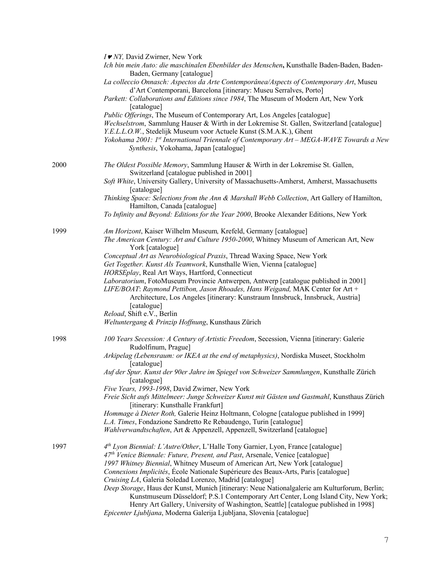|      | I V NY, David Zwirner, New York                                                                                                                                                 |
|------|---------------------------------------------------------------------------------------------------------------------------------------------------------------------------------|
|      | Ich bin mein Auto: die maschinalen Ebenbilder des Menschen, Kunsthalle Baden-Baden, Baden-<br>Baden, Germany [catalogue]                                                        |
|      | La colleccio Onnasch: Aspectos da Arte Contemporânea/Aspects of Contemporary Art, Museu<br>d'Art Contemporani, Barcelona [itinerary: Museu Serralves, Porto]                    |
|      | Parkett: Collaborations and Editions since 1984, The Museum of Modern Art, New York                                                                                             |
|      | [catalogue]<br>Public Offerings, The Museum of Contemporary Art, Los Angeles [catalogue]                                                                                        |
|      | Wechselstrom, Sammlung Hauser & Wirth in der Lokremise St. Gallen, Switzerland [catalogue]<br>Y.E.L.L.O.W., Stedelijk Museum voor Actuele Kunst (S.M.A.K.), Ghent               |
|      | Yokohama 2001: 1st International Triennale of Contemporary Art - MEGA-WAVE Towards a New<br>Synthesis, Yokohama, Japan [catalogue]                                              |
| 2000 | The Oldest Possible Memory, Sammlung Hauser & Wirth in der Lokremise St. Gallen,<br>Switzerland [catalogue published in 2001]                                                   |
|      | Soft White, University Gallery, University of Massachusetts-Amherst, Amherst, Massachusetts<br>[catalogue]                                                                      |
|      | Thinking Space: Selections from the Ann & Marshall Webb Collection, Art Gallery of Hamilton,<br>Hamilton, Canada [catalogue]                                                    |
|      | To Infinity and Beyond: Editions for the Year 2000, Brooke Alexander Editions, New York                                                                                         |
| 1999 | Am Horizont, Kaiser Wilhelm Museum, Krefeld, Germany [catalogue]<br>The American Century: Art and Culture 1950-2000, Whitney Museum of American Art, New<br>York [catalogue]    |
|      | Conceptual Art as Neurobiological Praxis, Thread Waxing Space, New York                                                                                                         |
|      | Get Together. Kunst Als Teamwork, Kunsthalle Wien, Vienna [catalogue]                                                                                                           |
|      | HORSEplay, Real Art Ways, Hartford, Connecticut<br>Laboratorium, FotoMuseum Provincie Antwerpen, Antwerp [catalogue published in 2001]                                          |
|      | LIFE/BOAT: Raymond Pettibon, Jason Rhoades, Hans Weigand, MAK Center for Art +<br>Architecture, Los Angeles [itinerary: Kunstraum Innsbruck, Innsbruck, Austria]<br>[catalogue] |
|      | Reload, Shift e.V., Berlin                                                                                                                                                      |
|      | Weltuntergang & Prinzip Hoffnung, Kunsthaus Zürich                                                                                                                              |
| 1998 | 100 Years Secession: A Century of Artistic Freedom, Secession, Vienna [itinerary: Galerie<br>Rudolfinum, Prague]                                                                |
|      | Arkipelag (Lebensraum: or IKEA at the end of metaphysics), Nordiska Museet, Stockholm<br>[catalogue]                                                                            |
|      | Auf der Spur. Kunst der 90er Jahre im Spiegel von Schweizer Sammlungen, Kunsthalle Zürich<br>[catalogue]                                                                        |
|      | Five Years, 1993-1998, David Zwirner, New York                                                                                                                                  |
|      | Freie Sicht aufs Mittelmeer: Junge Schweizer Kunst mit Gästen und Gastmahl, Kunsthaus Zürich<br>[itinerary: Kunsthalle Frankfurt]                                               |
|      | Hommage à Dieter Roth, Galerie Heinz Holtmann, Cologne [catalogue published in 1999]<br>L.A. Times, Fondazione Sandretto Re Rebaudengo, Turin [catalogue]                       |
|      | Wahlverwandtschaften, Art & Appenzell, Appenzell, Switzerland [catalogue]                                                                                                       |
| 1997 | 4th Lyon Biennial: L'Autre/Other, L'Halle Tony Garnier, Lyon, France [catalogue]                                                                                                |
|      | 47 <sup>th</sup> Venice Biennale: Future, Present, and Past, Arsenale, Venice [catalogue]                                                                                       |
|      | 1997 Whitney Biennial, Whitney Museum of American Art, New York [catalogue]<br>Connexions Implicités, École Nationale Supérieure des Beaux-Arts, Paris [catalogue]              |
|      | Cruising LA, Galeria Soledad Lorenzo, Madrid [catalogue]                                                                                                                        |
|      | Deep Storage, Haus der Kunst, Munich [itinerary: Neue Nationalgalerie am Kulturforum, Berlin;                                                                                   |
|      | Kunstmuseum Düsseldorf; P.S.1 Contemporary Art Center, Long Island City, New York;                                                                                              |
|      | Henry Art Gallery, University of Washington, Seattle] [catalogue published in 1998]<br>Epicenter Ljubljana, Moderna Galerija Ljubljana, Slovenia [catalogue]                    |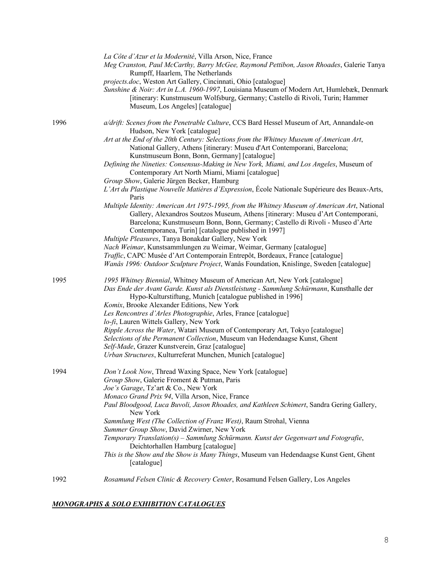|      | La Côte d'Azur et la Modernité, Villa Arson, Nice, France<br>Meg Cranston, Paul McCarthy, Barry McGee, Raymond Pettibon, Jason Rhoades, Galerie Tanya<br>Rumpff, Haarlem, The Netherlands<br>projects.doc, Weston Art Gallery, Cincinnati, Ohio [catalogue]<br>Sunshine & Noir: Art in L.A. 1960-1997, Louisiana Museum of Modern Art, Humlebæk, Denmark<br>[itinerary: Kunstmuseum Wolfsburg, Germany; Castello di Rivoli, Turin; Hammer<br>Museum, Los Angeles] [catalogue] |
|------|-------------------------------------------------------------------------------------------------------------------------------------------------------------------------------------------------------------------------------------------------------------------------------------------------------------------------------------------------------------------------------------------------------------------------------------------------------------------------------|
| 1996 | a/drift: Scenes from the Penetrable Culture, CCS Bard Hessel Museum of Art, Annandale-on<br>Hudson, New York [catalogue]                                                                                                                                                                                                                                                                                                                                                      |
|      | Art at the End of the 20th Century: Selections from the Whitney Museum of American Art,<br>National Gallery, Athens [itinerary: Museu d'Art Contemporani, Barcelona;<br>Kunstmuseum Bonn, Bonn, Germany] [catalogue]                                                                                                                                                                                                                                                          |
|      | Defining the Nineties: Consensus-Making in New York, Miami, and Los Angeles, Museum of<br>Contemporary Art North Miami, Miami [catalogue]                                                                                                                                                                                                                                                                                                                                     |
|      | Group Show, Galerie Jürgen Becker, Hamburg<br>L'Art du Plastique Nouvelle Matières d'Expression, École Nationale Supérieure des Beaux-Arts,<br>Paris                                                                                                                                                                                                                                                                                                                          |
|      | Multiple Identity: American Art 1975-1995, from the Whitney Museum of American Art, National<br>Gallery, Alexandros Soutzos Museum, Athens [itinerary: Museu d'Art Contemporani,<br>Barcelona; Kunstmuseum Bonn, Bonn, Germany; Castello di Rivoli - Museo d'Arte<br>Contemporanea, Turin] [catalogue published in 1997]                                                                                                                                                      |
|      | Multiple Pleasures, Tanya Bonakdar Gallery, New York                                                                                                                                                                                                                                                                                                                                                                                                                          |
|      | Nach Weimar, Kunstsammlungen zu Weimar, Weimar, Germany [catalogue]<br>Traffic, CAPC Musée d'Art Contemporain Entrepôt, Bordeaux, France [catalogue]<br>Wanås 1996: Outdoor Sculpture Project, Wanås Foundation, Knislinge, Sweden [catalogue]                                                                                                                                                                                                                                |
| 1995 | 1995 Whitney Biennial, Whitney Museum of American Art, New York [catalogue]<br>Das Ende der Avant Garde. Kunst als Dienstleistung - Sammlung Schürmann, Kunsthalle der<br>Hypo-Kulturstiftung, Munich [catalogue published in 1996]<br>Komix, Brooke Alexander Editions, New York                                                                                                                                                                                             |
|      | Les Rencontres d'Arles Photographie, Arles, France [catalogue]                                                                                                                                                                                                                                                                                                                                                                                                                |
|      | lo-fi, Lauren Wittels Gallery, New York                                                                                                                                                                                                                                                                                                                                                                                                                                       |
|      | Ripple Across the Water, Watari Museum of Contemporary Art, Tokyo [catalogue]                                                                                                                                                                                                                                                                                                                                                                                                 |
|      | Selections of the Permanent Collection, Museum van Hedendaagse Kunst, Ghent<br>Self-Made, Grazer Kunstverein, Graz [catalogue]                                                                                                                                                                                                                                                                                                                                                |
|      | Urban Structures, Kulturreferat Munchen, Munich [catalogue]                                                                                                                                                                                                                                                                                                                                                                                                                   |
| 1994 | Don't Look Now, Thread Waxing Space, New York [catalogue]<br>Group Show, Galerie Froment & Putman, Paris                                                                                                                                                                                                                                                                                                                                                                      |
|      | Joe's Garage, Tz'art & Co., New York                                                                                                                                                                                                                                                                                                                                                                                                                                          |
|      | Monaco Grand Prix 94, Villa Arson, Nice, France<br>Paul Bloodgood, Luca Buvoli, Jason Rhoades, and Kathleen Schimert, Sandra Gering Gallery,<br>New York                                                                                                                                                                                                                                                                                                                      |
|      | Sammlung West (The Collection of Franz West), Raum Strohal, Vienna<br>Summer Group Show, David Zwirner, New York                                                                                                                                                                                                                                                                                                                                                              |
|      | Temporary Translation(s) - Sammlung Schürmann. Kunst der Gegenwart und Fotografie,<br>Deichtorhallen Hamburg [catalogue]                                                                                                                                                                                                                                                                                                                                                      |
|      | This is the Show and the Show is Many Things, Museum van Hedendaagse Kunst Gent, Ghent<br>[catalogue]                                                                                                                                                                                                                                                                                                                                                                         |
| 1992 | Rosamund Felsen Clinic & Recovery Center, Rosamund Felsen Gallery, Los Angeles                                                                                                                                                                                                                                                                                                                                                                                                |

## *MONOGRAPHS & SOLO EXHIBITION CATALOGUES*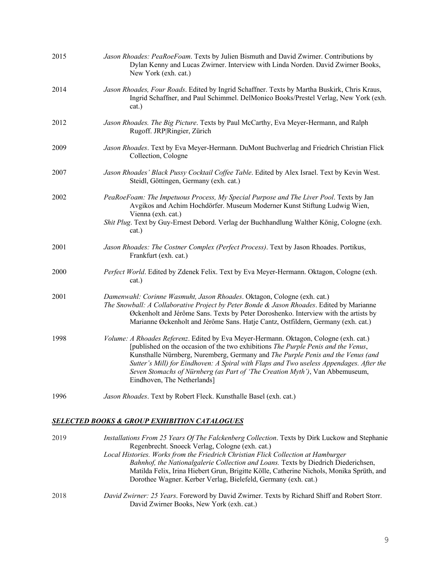| 2015 | Jason Rhoades: PeaRoeFoam. Texts by Julien Bismuth and David Zwirner. Contributions by<br>Dylan Kenny and Lucas Zwirner. Interview with Linda Norden. David Zwirner Books,<br>New York (exh. cat.)                                                                                                                                                                                                                                                                      |
|------|-------------------------------------------------------------------------------------------------------------------------------------------------------------------------------------------------------------------------------------------------------------------------------------------------------------------------------------------------------------------------------------------------------------------------------------------------------------------------|
| 2014 | Jason Rhoades, Four Roads. Edited by Ingrid Schaffner. Texts by Martha Buskirk, Chris Kraus,<br>Ingrid Schaffner, and Paul Schimmel. DelMonico Books/Prestel Verlag, New York (exh.<br>cat.)                                                                                                                                                                                                                                                                            |
| 2012 | Jason Rhoades. The Big Picture. Texts by Paul McCarthy, Eva Meyer-Hermann, and Ralph<br>Rugoff. JRP Ringier, Zürich                                                                                                                                                                                                                                                                                                                                                     |
| 2009 | Jason Rhoades. Text by Eva Meyer-Hermann. DuMont Buchverlag and Friedrich Christian Flick<br>Collection, Cologne                                                                                                                                                                                                                                                                                                                                                        |
| 2007 | Jason Rhoades' Black Pussy Cocktail Coffee Table. Edited by Alex Israel. Text by Kevin West.<br>Steidl, Göttingen, Germany (exh. cat.)                                                                                                                                                                                                                                                                                                                                  |
| 2002 | PeaRoeFoam: The Impetuous Process, My Special Purpose and The Liver Pool. Texts by Jan<br>Avgikos and Achim Hochdörfer. Museum Moderner Kunst Stiftung Ludwig Wien,<br>Vienna (exh. cat.)<br>Shit Plug. Text by Guy-Ernest Debord. Verlag der Buchhandlung Walther König, Cologne (exh.<br>cat.)                                                                                                                                                                        |
| 2001 | Jason Rhoades: The Costner Complex (Perfect Process). Text by Jason Rhoades. Portikus,<br>Frankfurt (exh. cat.)                                                                                                                                                                                                                                                                                                                                                         |
| 2000 | Perfect World. Edited by Zdenek Felix. Text by Eva Meyer-Hermann. Oktagon, Cologne (exh.<br>cat.)                                                                                                                                                                                                                                                                                                                                                                       |
| 2001 | Damenwahl: Corinne Wasmuht, Jason Rhoades. Oktagon, Cologne (exh. cat.)<br>The Snowball: A Collaborative Project by Peter Bonde & Jason Rhoades. Edited by Marianne<br>Øckenholt and Jérôme Sans. Texts by Peter Doroshenko. Interview with the artists by<br>Marianne Øckenholt and Jérôme Sans. Hatje Cantz, Ostfildern, Germany (exh. cat.)                                                                                                                          |
| 1998 | Volume: A Rhoades Referenz. Edited by Eva Meyer-Hermann. Oktagon, Cologne (exh. cat.)<br>[published on the occasion of the two exhibitions The Purple Penis and the Venus,<br>Kunsthalle Nürnberg, Nuremberg, Germany and The Purple Penis and the Venus (and<br>Sutter's Mill) for Eindhoven: A Spiral with Flaps and Two useless Appendages. After the<br>Seven Stomachs of Nürnberg (as Part of 'The Creation Myth'), Van Abbemuseum,<br>Eindhoven, The Netherlands] |
| 1996 | Jason Rhoades. Text by Robert Fleck. Kunsthalle Basel (exh. cat.)                                                                                                                                                                                                                                                                                                                                                                                                       |

# *SELECTED BOOKS & GROUP EXHIBITION CATALOGUES*

| 2019 | Installations From 25 Years Of The Falckenberg Collection. Texts by Dirk Luckow and Stephanie                                                                                                                                                    |
|------|--------------------------------------------------------------------------------------------------------------------------------------------------------------------------------------------------------------------------------------------------|
|      | Regenbrecht. Snoeck Verlag, Cologne (exh. cat.)<br>Local Histories. Works from the Friedrich Christian Flick Collection at Hamburger                                                                                                             |
|      | Bahnhof, the Nationalgalerie Collection and Loans. Texts by Diedrich Diederichsen,<br>Matilda Felix, Irina Hiebert Grun, Brigitte Kölle, Catherine Nichols, Monika Sprüth, and<br>Dorothee Wagner. Kerber Verlag, Bielefeld, Germany (exh. cat.) |
| 2018 | David Zwirner: 25 Years. Foreword by David Zwirner. Texts by Richard Shiff and Robert Storr.<br>David Zwirner Books, New York (exh. cat.)                                                                                                        |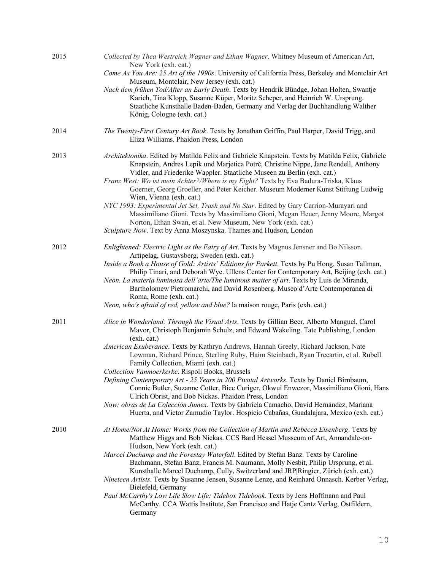| 2015 | Collected by Thea Westreich Wagner and Ethan Wagner. Whitney Museum of American Art,<br>New York (exh. cat.)<br>Come As You Are: 25 Art of the 1990s. University of California Press, Berkeley and Montclair Art<br>Museum, Montclair, New Jersey (exh. cat.)<br>Nach dem frühen Tod/After an Early Death. Texts by Hendrik Bündge, Johan Holten, Swantje<br>Karich, Tina Klopp, Susanne Küper, Moritz Scheper, and Heinrich W. Ursprung.<br>Staatliche Kunsthalle Baden-Baden, Germany and Verlag der Buchhandlung Walther<br>König, Cologne (exh. cat.)                                                                                                                                                                                                                                                                                                                                           |
|------|-----------------------------------------------------------------------------------------------------------------------------------------------------------------------------------------------------------------------------------------------------------------------------------------------------------------------------------------------------------------------------------------------------------------------------------------------------------------------------------------------------------------------------------------------------------------------------------------------------------------------------------------------------------------------------------------------------------------------------------------------------------------------------------------------------------------------------------------------------------------------------------------------------|
| 2014 | The Twenty-First Century Art Book. Texts by Jonathan Griffin, Paul Harper, David Trigg, and<br>Eliza Williams. Phaidon Press, London                                                                                                                                                                                                                                                                                                                                                                                                                                                                                                                                                                                                                                                                                                                                                                |
| 2013 | Architektonika. Edited by Matilda Felix and Gabriele Knapstein. Texts by Matilda Felix, Gabriele<br>Knapstein, Andres Lepik und Marjetica Potrč, Christine Nippe, Jane Rendell, Anthony<br>Vidler, and Friederike Wappler. Staatliche Museen zu Berlin (exh. cat.)<br>Franz West: Wo ist mein Achter?/Where is my Eight? Texts by Eva Badura-Triska, Klaus<br>Goerner, Georg Groeller, and Peter Keicher. Museum Moderner Kunst Stiftung Ludwig<br>Wien, Vienna (exh. cat.)<br>NYC 1993: Experimental Jet Set, Trash and No Star. Edited by Gary Carrion-Murayari and<br>Massimiliano Gioni. Texts by Massimiliano Gioni, Megan Heuer, Jenny Moore, Margot<br>Norton, Ethan Swan, et al. New Museum, New York (exh. cat.)<br>Sculpture Now. Text by Anna Moszynska. Thames and Hudson, London                                                                                                       |
| 2012 | Enlightened: Electric Light as the Fairy of Art. Texts by Magnus Jensner and Bo Nilsson.<br>Artipelag, Gustavsberg, Sweden (exh. cat.)<br>Inside a Book a House of Gold: Artists' Editions for Parkett. Texts by Pu Hong, Susan Tallman,<br>Philip Tinari, and Deborah Wye. Ullens Center for Contemporary Art, Beijing (exh. cat.)<br>Neon. La materia luminosa dell'arte/The luminous matter of art. Texts by Luis de Miranda,<br>Bartholomew Pietromarchi, and David Rosenberg. Museo d'Arte Contemporanea di<br>Roma, Rome (exh. cat.)<br>Neon, who's afraid of red, yellow and blue? la maison rouge, Paris (exh. cat.)                                                                                                                                                                                                                                                                        |
| 2011 | Alice in Wonderland: Through the Visual Arts. Texts by Gillian Beer, Alberto Manguel, Carol<br>Mavor, Christoph Benjamin Schulz, and Edward Wakeling. Tate Publishing, London<br>(exh. cat.)<br>American Exuberance. Texts by Kathryn Andrews, Hannah Greely, Richard Jackson, Nate<br>Lowman, Richard Prince, Sterling Ruby, Haim Steinbach, Ryan Trecartin, et al. Rubell<br>Family Collection, Miami (exh. cat.)<br>Collection Vanmoerkerke. Rispoli Books, Brussels<br>Defining Contemporary Art - 25 Years in 200 Pivotal Artworks. Texts by Daniel Birnbaum,<br>Connie Butler, Suzanne Cotter, Bice Curiger, Okwui Enwezor, Massimiliano Gioni, Hans<br>Ulrich Obrist, and Bob Nickas. Phaidon Press, London<br>Now: obras de La Colección Jumex. Texts by Gabriela Camacho, David Hernández, Mariana<br>Huerta, and Victor Zamudio Taylor. Hospicio Cabañas, Guadalajara, Mexico (exh. cat.) |
| 2010 | At Home/Not At Home: Works from the Collection of Martin and Rebecca Eisenberg. Texts by<br>Matthew Higgs and Bob Nickas. CCS Bard Hessel Musseum of Art, Annandale-on-<br>Hudson, New York (exh. cat.)<br>Marcel Duchamp and the Forestay Waterfall. Edited by Stefan Banz. Texts by Caroline<br>Bachmann, Stefan Banz, Francis M. Naumann, Molly Nesbit, Philip Ursprung, et al.<br>Kunsthalle Marcel Duchamp, Cully, Switzerland and JRP Ringier, Zürich (exh. cat.)<br>Nineteen Artists. Texts by Susanne Jensen, Susanne Lenze, and Reinhard Onnasch. Kerber Verlag,<br>Bielefeld, Germany<br>Paul McCarthy's Low Life Slow Life: Tidebox Tidebook. Texts by Jens Hoffmann and Paul<br>McCarthy. CCA Wattis Institute, San Francisco and Hatje Cantz Verlag, Ostfildern,<br>Germany                                                                                                            |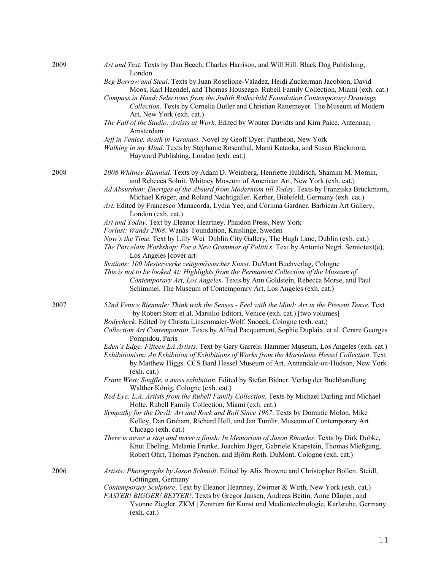| 2009 | Art and Text. Texts by Dan Beech, Charles Harrison, and Will Hill. Black Dog Publishing,<br>London                                                                                                                                                                                                                                                                                                                                                                       |
|------|--------------------------------------------------------------------------------------------------------------------------------------------------------------------------------------------------------------------------------------------------------------------------------------------------------------------------------------------------------------------------------------------------------------------------------------------------------------------------|
|      | Beg Borrow and Steal. Texts by Juan Roselione-Valadez, Heidi Zuckerman Jacobson, David<br>Moos, Karl Haendel, and Thomas Houseago. Rubell Family Collection, Miami (exh. cat.)<br>Compass in Hand: Selections from the Judith Rothschild Foundation Contemporary Drawings<br>Collection. Texts by Cornelia Butler and Christian Rattemeyer. The Museum of Modern<br>Art, New York (exh. cat.)                                                                            |
|      | The Fall of the Studio: Artists at Work. Edited by Wouter Davidts and Kim Paice. Antennae,<br>Amsterdam                                                                                                                                                                                                                                                                                                                                                                  |
|      | Jeff in Venice, death in Varanasi. Novel by Geoff Dyer. Pantheon, New York<br>Walking in my Mind. Texts by Stephanie Rosenthal, Mami Kataoka, and Susan Blackmore.<br>Hayward Publishing, London (exh. cat.)                                                                                                                                                                                                                                                             |
| 2008 | 2008 Whitney Biennial. Texts by Adam D. Weinberg, Henriette Huldisch, Shamim M. Momin,<br>and Rebecca Solnit. Whitney Museum of American Art, New York (exh. cat.)<br>Ad Absurdum: Eneriges of the Absurd from Modernism till Today. Texts by Franziska Brückmann,<br>Michael Kröger, and Roland Nachtigäller. Kerber, Bielefeld, Germany (exh. cat.)<br>Art. Edited by Francesco Manacorda, Lydia Yee, and Corinna Gardner. Barbican Art Gallery,<br>London (exh. cat.) |
|      | Art and Today. Text by Eleanor Heartney. Phaidon Press, New York                                                                                                                                                                                                                                                                                                                                                                                                         |
|      | Forlust: Wanås 2008. Wanås Foundation, Knislinge, Sweden<br>Now's the Time. Text by Lilly Wei. Dublin City Gallery, The Hugh Lane, Dublin (exh. cat.)<br>The Porcelain Workshop: For a New Grammar of Politics. Text by Antonio Negri. Semiotext(e),<br>Los Angeles [cover art]                                                                                                                                                                                          |
|      | Stations: 100 Mesterwerke zeitgenössischer Kunst. DuMont Buchverlag, Cologne<br>This is not to be looked At: Highlights from the Permanent Collection of the Museum of<br>Contemporary Art, Los Angeles. Texts by Ann Goldstein, Rebecca Morse, and Paul<br>Schimmel. The Museum of Contemporary Art, Los Angeles (exh. cat.)                                                                                                                                            |
| 2007 | 52nd Venice Biennale: Think with the Senses - Feel with the Mind: Art in the Present Tense. Text<br>by Robert Storr et al. Marsilio Editori, Venice (exh. cat.) [two volumes]<br>Bodycheck. Edited by Christa Linsenmaier-Wolf. Snoeck, Cologne (exh. cat.)                                                                                                                                                                                                              |
|      | Collection Art Contemporain. Texts by Alfred Pacquement, Sophie Duplaix, et al. Centre Georges<br>Pompidou, Paris                                                                                                                                                                                                                                                                                                                                                        |
|      | Eden's Edge: Fifteen LA Artists. Text by Gary Garrels. Hammer Museum, Los Angeles (exh. cat.)<br>Exhibitionism: An Exhibition of Exhibitions of Works from the Marieluise Hessel Collection. Text<br>by Matthew Higgs. CCS Bard Hessel Museum of Art, Annandale-on-Hudson, New York<br>(exh. cat.)                                                                                                                                                                       |
|      | Franz West: Souffle, a mass exhibition. Edited by Stefan Bidner. Verlag der Buchhandlung<br>Walther König, Cologne (exh. cat.)                                                                                                                                                                                                                                                                                                                                           |
|      | Red Eye: L.A. Artists from the Rubell Family Collection. Texts by Michael Darling and Michael<br>Holte. Rubell Family Collection, Miami (exh. cat.)                                                                                                                                                                                                                                                                                                                      |
|      | Sympathy for the Devil: Art and Rock and Roll Since 1967. Texts by Dominic Molon, Mike<br>Kelley, Dan Graham, Richard Hell, and Jan Tumlir. Museum of Contemporary Art<br>Chicago (exh. cat.)                                                                                                                                                                                                                                                                            |
|      | There is never a stop and never a finish: In Memoriam of Jason Rhoades. Texts by Dirk Dobke,<br>Knut Ebeling, Melanie Franke, Joachim Jäger, Gabriele Knapstein, Thomas Mießgang,<br>Robert Ohrt, Thomas Pynchon, and Björn Roth. DuMont, Cologne (exh. cat.)                                                                                                                                                                                                            |
| 2006 | Artists: Photographs by Jason Schmidt. Edited by Alix Browne and Christopher Bollen. Steidl,<br>Göttingen, Germany                                                                                                                                                                                                                                                                                                                                                       |
|      | Contemporary Sculpture. Text by Eleanor Heartney. Zwirner & Wirth, New York (exh. cat.)<br>FASTER! BIGGER! BETTER!. Texts by Gregor Jansen, Andreas Beitin, Anne Däuper, and<br>Yvonne Ziegler. ZKM   Zentrum für Kunst und Medientechnologie, Karlsruhe, Germany<br>(exh. cat.)                                                                                                                                                                                         |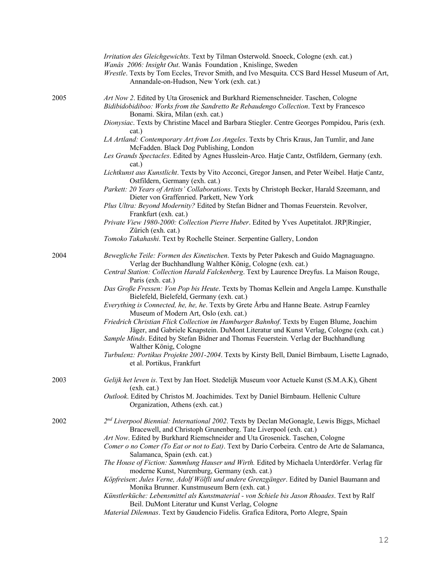|      | Irritation des Gleichgewichts. Text by Tilman Osterwold. Snoeck, Cologne (exh. cat.)<br>Wanås 2006: Insight Out. Wanås Foundation, Knislinge, Sweden<br>Wrestle. Texts by Tom Eccles, Trevor Smith, and Ivo Mesquita. CCS Bard Hessel Museum of Art,<br>Annandale-on-Hudson, New York (exh. cat.)                |
|------|------------------------------------------------------------------------------------------------------------------------------------------------------------------------------------------------------------------------------------------------------------------------------------------------------------------|
| 2005 | Art Now 2. Edited by Uta Grosenick and Burkhard Riemenschneider. Taschen, Cologne<br>Bidibidobidiboo: Works from the Sandretto Re Rebaudengo Collection. Text by Francesco<br>Bonami. Skira, Milan (exh. cat.)<br>Dionysiac. Texts by Christine Macel and Barbara Stiegler. Centre Georges Pompidou, Paris (exh. |
|      | cat.)<br>LA Artland: Contemporary Art from Los Angeles. Texts by Chris Kraus, Jan Tumlir, and Jane<br>McFadden. Black Dog Publishing, London                                                                                                                                                                     |
|      | Les Grands Spectacles. Edited by Agnes Husslein-Arco. Hatje Cantz, Ostfildern, Germany (exh.<br>cat.)                                                                                                                                                                                                            |
|      | Lichtkunst aus Kunstlicht. Texts by Vito Acconci, Gregor Jansen, and Peter Weibel. Hatje Cantz,<br>Ostfildern, Germany (exh. cat.)                                                                                                                                                                               |
|      | Parkett: 20 Years of Artists' Collaborations. Texts by Christoph Becker, Harald Szeemann, and<br>Dieter von Graffenried. Parkett, New York                                                                                                                                                                       |
|      | Plus Ultra: Beyond Modernity? Edited by Stefan Bidner and Thomas Feuerstein. Revolver,<br>Frankfurt (exh. cat.)                                                                                                                                                                                                  |
|      | Private View 1980-2000: Collection Pierre Huber. Edited by Yves Aupetitalot. JRP Ringier,<br>Zürich (exh. cat.)                                                                                                                                                                                                  |
|      | Tomoko Takahashi. Text by Rochelle Steiner. Serpentine Gallery, London                                                                                                                                                                                                                                           |
| 2004 | Bewegliche Teile: Formen des Kinetischen. Texts by Peter Pakesch and Guido Magnaguagno.<br>Verlag der Buchhandlung Walther König, Cologne (exh. cat.)                                                                                                                                                            |
|      | Central Station: Collection Harald Falckenberg. Text by Laurence Dreyfus. La Maison Rouge,<br>Paris (exh. cat.)                                                                                                                                                                                                  |
|      | Das Große Fressen: Von Pop bis Heute. Texts by Thomas Kellein and Angela Lampe. Kunsthalle<br>Bielefeld, Bielefeld, Germany (exh. cat.)                                                                                                                                                                          |
|      | Everything is Connected, he, he, he. Texts by Grete Årbu and Hanne Beate. Astrup Fearnley<br>Museum of Modern Art, Oslo (exh. cat.)                                                                                                                                                                              |
|      | Friedrich Christian Flick Collection im Hamburger Bahnhof. Texts by Eugen Blume, Joachim<br>Jäger, and Gabriele Knapstein. DuMont Literatur und Kunst Verlag, Cologne (exh. cat.)<br>Sample Minds. Edited by Stefan Bidner and Thomas Feuerstein. Verlag der Buchhandlung<br>Walther König, Cologne              |
|      | Turbulenz: Portikus Projekte 2001-2004. Texts by Kirsty Bell, Daniel Birnbaum, Lisette Lagnado,<br>et al. Portikus, Frankfurt                                                                                                                                                                                    |
| 2003 | Gelijk het leven is. Text by Jan Hoet. Stedelijk Museum voor Actuele Kunst (S.M.A.K), Ghent<br>(exh. cat.)                                                                                                                                                                                                       |
|      | Outlook. Edited by Christos M. Joachimides. Text by Daniel Birnbaum. Hellenic Culture<br>Organization, Athens (exh. cat.)                                                                                                                                                                                        |
| 2002 | $2nd Liverpool Binomial$ : International 2002. Texts by Declan McGonagle, Lewis Biggs, Michael<br>Bracewell, and Christoph Grunenberg. Tate Liverpool (exh. cat.)                                                                                                                                                |
|      | Art Now. Edited by Burkhard Riemschneider and Uta Grosenick. Taschen, Cologne                                                                                                                                                                                                                                    |
|      | Comer o no Comer (To Eat or not to Eat). Text by Darío Corbeira. Centro de Arte de Salamanca,<br>Salamanca, Spain (exh. cat.)                                                                                                                                                                                    |
|      | The House of Fiction: Sammlung Hauser und Wirth. Edited by Michaela Unterdörfer. Verlag für<br>moderne Kunst, Nuremburg, Germany (exh. cat.)                                                                                                                                                                     |
|      | Köpfreisen: Jules Verne, Adolf Wölfli und andere Grenzgänger. Edited by Daniel Baumann and                                                                                                                                                                                                                       |
|      | Monika Brunner. Kunstmuseum Bern (exh. cat.)<br>Künstlerküche: Lebensmittel als Kunstmaterial - von Schiele bis Jason Rhoades. Text by Ralf<br>Beil. DuMont Literatur und Kunst Verlag, Cologne                                                                                                                  |
|      | Material Dilemnas. Text by Gaudencio Fidelis. Grafica Editora, Porto Alegre, Spain                                                                                                                                                                                                                               |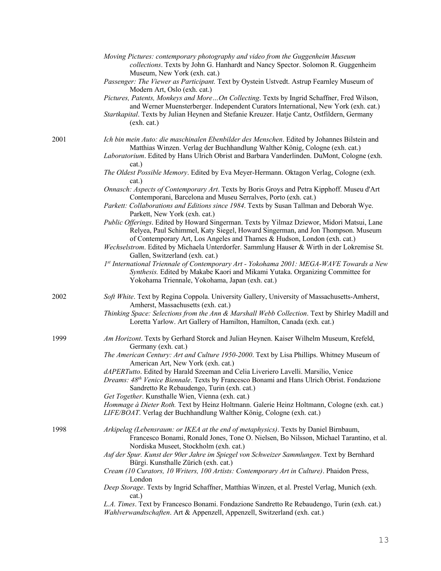|      | Moving Pictures: contemporary photography and video from the Guggenheim Museum<br>collections. Texts by John G. Hanhardt and Nancy Spector. Solomon R. Guggenheim<br>Museum, New York (exh. cat.)<br>Passenger: The Viewer as Participant. Text by Oystein Ustvedt. Astrup Fearnley Museum of<br>Modern Art, Oslo (exh. cat.)<br>Pictures, Patents, Monkeys and More  On Collecting. Texts by Ingrid Schaffner, Fred Wilson,<br>and Werner Muensterberger. Independent Curators International, New York (exh. cat.)<br>Startkapital. Texts by Julian Heynen and Stefanie Kreuzer. Hatje Cantz, Ostfildern, Germany<br>(exh. cat.) |
|------|-----------------------------------------------------------------------------------------------------------------------------------------------------------------------------------------------------------------------------------------------------------------------------------------------------------------------------------------------------------------------------------------------------------------------------------------------------------------------------------------------------------------------------------------------------------------------------------------------------------------------------------|
| 2001 | Ich bin mein Auto: die maschinalen Ebenbilder des Menschen. Edited by Johannes Bilstein and<br>Matthias Winzen. Verlag der Buchhandlung Walther König, Cologne (exh. cat.)<br>Laboratorium. Edited by Hans Ulrich Obrist and Barbara Vanderlinden. DuMont, Cologne (exh.<br>cat.)                                                                                                                                                                                                                                                                                                                                                 |
|      | The Oldest Possible Memory. Edited by Eva Meyer-Hermann. Oktagon Verlag, Cologne (exh.<br>cat.)                                                                                                                                                                                                                                                                                                                                                                                                                                                                                                                                   |
|      | Onnasch: Aspects of Contemporary Art. Texts by Boris Groys and Petra Kipphoff. Museu d'Art<br>Contemporani, Barcelona and Museu Serralves, Porto (exh. cat.)<br>Parkett: Collaborations and Editions since 1984. Texts by Susan Tallman and Deborah Wye.                                                                                                                                                                                                                                                                                                                                                                          |
|      | Parkett, New York (exh. cat.)<br>Public Offerings. Edited by Howard Singerman. Texts by Yilmaz Dziewor, Midori Matsui, Lane<br>Relyea, Paul Schimmel, Katy Siegel, Howard Singerman, and Jon Thompson. Museum<br>of Contemporary Art, Los Angeles and Thames & Hudson, London (exh. cat.)<br>Wechselstrom. Edited by Michaela Unterdorfer. Sammlung Hauser & Wirth in der Lokremise St.                                                                                                                                                                                                                                           |
|      | Gallen, Switzerland (exh. cat.)<br>1st International Triennale of Contemporary Art - Yokohama 2001: MEGA-WAVE Towards a New<br>Synthesis. Edited by Makabe Kaori and Mikami Yutaka. Organizing Committee for<br>Yokohama Triennale, Yokohama, Japan (exh. cat.)                                                                                                                                                                                                                                                                                                                                                                   |
| 2002 | Soft White. Text by Regina Coppola. University Gallery, University of Massachusetts-Amherst,<br>Amherst, Massachusetts (exh. cat.)<br>Thinking Space: Selections from the Ann & Marshall Webb Collection. Text by Shirley Madill and<br>Loretta Yarlow. Art Gallery of Hamilton, Hamilton, Canada (exh. cat.)                                                                                                                                                                                                                                                                                                                     |
| 1999 | Am Horizont. Texts by Gerhard Storck and Julian Heynen. Kaiser Wilhelm Museum, Krefeld,                                                                                                                                                                                                                                                                                                                                                                                                                                                                                                                                           |
|      | Germany (exh. cat.)<br>The American Century: Art and Culture 1950-2000. Text by Lisa Phillips. Whitney Museum of                                                                                                                                                                                                                                                                                                                                                                                                                                                                                                                  |
|      | American Art, New York (exh. cat.)<br>dAPERTutto. Edited by Harald Szeeman and Celia Liveriero Lavelli. Marsilio, Venice<br>Dreams: 48th Venice Biennale. Texts by Francesco Bonami and Hans Ulrich Obrist. Fondazione<br>Sandretto Re Rebaudengo, Turin (exh. cat.)<br>Get Together. Kunsthalle Wien, Vienna (exh. cat.)                                                                                                                                                                                                                                                                                                         |
|      | Hommage à Dieter Roth. Text by Heinz Holtmann. Galerie Heinz Holtmann, Cologne (exh. cat.)<br>LIFE/BOAT. Verlag der Buchhandlung Walther König, Cologne (exh. cat.)                                                                                                                                                                                                                                                                                                                                                                                                                                                               |
| 1998 | Arkipelag (Lebensraum: or IKEA at the end of metaphysics). Texts by Daniel Birnbaum,<br>Francesco Bonami, Ronald Jones, Tone O. Nielsen, Bo Nilsson, Michael Tarantino, et al.<br>Nordiska Museet, Stockholm (exh. cat.)<br>Auf der Spur. Kunst der 90er Jahre im Spiegel von Schweizer Sammlungen. Text by Bernhard<br>Bürgi. Kunsthalle Zürich (exh. cat.)<br>Cream (10 Curators, 10 Writers, 100 Artists: Contemporary Art in Culture). Phaidon Press,<br>London                                                                                                                                                               |
|      | Deep Storage. Texts by Ingrid Schaffner, Matthias Winzen, et al. Prestel Verlag, Munich (exh.<br>cat.)                                                                                                                                                                                                                                                                                                                                                                                                                                                                                                                            |
|      | L.A. Times. Text by Francesco Bonami. Fondazione Sandretto Re Rebaudengo, Turin (exh. cat.)<br>Wahlverwandtschaften. Art & Appenzell, Appenzell, Switzerland (exh. cat.)                                                                                                                                                                                                                                                                                                                                                                                                                                                          |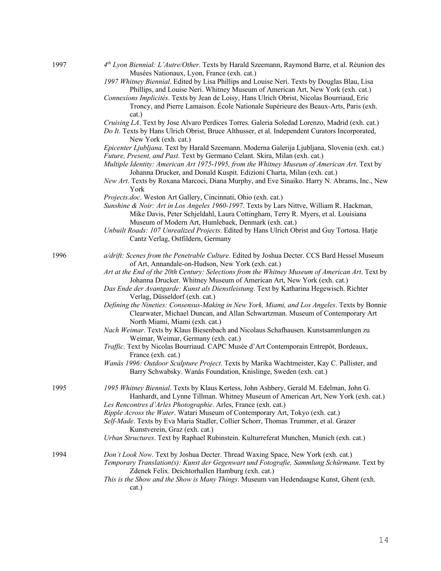| 1997 | $4th Lyon Biennial$ : L'Autre/Other. Texts by Harald Szeemann, Raymond Barre, et al. Réunion des<br>Musées Nationaux, Lyon, France (exh. cat.)                                                                                       |
|------|--------------------------------------------------------------------------------------------------------------------------------------------------------------------------------------------------------------------------------------|
|      | 1997 Whitney Biennial. Edited by Lisa Phillips and Louise Neri. Texts by Douglas Blau, Lisa<br>Phillips, and Louise Neri. Whitney Museum of American Art, New York (exh. cat.)                                                       |
|      | Connexions Implicités. Texts by Jean de Loisy, Hans Ulrich Obrist, Nicolas Bourriaud, Eric<br>Troncy, and Pierre Lamaison. École Nationale Supérieure des Beaux-Arts, Paris (exh.                                                    |
|      | cat.)<br>Cruising LA. Text by Jose Alvaro Perdices Torres. Galeria Soledad Lorenzo, Madrid (exh. cat.)<br>Do It. Texts by Hans Ulrich Obrist, Bruce Althusser, et al. Independent Curators Incorporated,                             |
|      | New York (exh. cat.)<br>Epicenter Ljubljana. Text by Harald Szeemann. Moderna Galerija Ljubljana, Slovenia (exh. cat.)                                                                                                               |
|      | Future, Present, and Past. Text by Germano Celant. Skira, Milan (exh. cat.)                                                                                                                                                          |
|      | Multiple Identity: American Art 1975-1995, from the Whitney Museum of American Art. Text by<br>Johanna Drucker, and Donald Kuspit. Edizioni Charta, Milan (exh. cat.)                                                                |
|      | New Art. Texts by Roxana Marcoci, Diana Murphy, and Eve Sinaiko. Harry N. Abrams, Inc., New<br>York                                                                                                                                  |
|      | Projects.doc. Weston Art Gallery, Cincinnati, Ohio (exh. cat.)                                                                                                                                                                       |
|      | Sunshine & Noir: Art in Los Angeles 1960-1997. Texts by Lars Nittve, William R. Hackman,<br>Mike Davis, Peter Schjeldahl, Laura Cottingham, Terry R. Myers, et al. Louisiana<br>Museum of Modern Art, Humlebaek, Denmark (exh. cat.) |
|      | Unbuilt Roads: 107 Unrealized Projects. Edited by Hans Ulrich Obrist and Guy Tortosa. Hatje<br>Cantz Verlag, Ostfildern, Germany                                                                                                     |
| 1996 | a/drift: Scenes from the Penetrable Culture. Edited by Joshua Decter. CCS Bard Hessel Museum                                                                                                                                         |
|      | of Art, Annandale-on-Hudson, New York (exh. cat.)<br>Art at the End of the 20th Century: Selections from the Whitney Museum of American Art. Text by<br>Johanna Drucker. Whitney Museum of American Art, New York (exh. cat.)        |
|      | Das Ende der Avantgarde: Kunst als Dienstleistung. Text by Katharina Hegewisch. Richter<br>Verlag, Düsseldorf (exh. cat.)                                                                                                            |
|      | Defining the Nineties: Consensus-Making in New York, Miami, and Los Angeles. Texts by Bonnie<br>Clearwater, Michael Duncan, and Allan Schwartzman. Museum of Contemporary Art<br>North Miami, Miami (exh. cat.)                      |
|      | Nach Weimar. Texts by Klaus Biesenbach and Nicolaus Schafhausen. Kunstsammlungen zu<br>Weimar, Weimar, Germany (exh. cat.)                                                                                                           |
|      | Traffic. Text by Nicolas Bourriaud. CAPC Musée d'Art Contemporain Entrepôt, Bordeaux,<br>France (exh. cat.)                                                                                                                          |
|      | Wanås 1996: Outdoor Sculpture Project. Texts by Marika Wachtmeister, Kay C. Pallister, and<br>Barry Schwabsky. Wanås Foundation, Knislinge, Sweden (exh. cat.)                                                                       |
| 1995 | 1995 Whitney Biennial. Texts by Klaus Kertess, John Ashbery, Gerald M. Edelman, John G.                                                                                                                                              |
|      | Hanhardt, and Lynne Tillman. Whitney Museum of American Art, New York (exh. cat.)                                                                                                                                                    |
|      | Les Rencontres d'Arles Photographie. Arles, France (exh. cat.)                                                                                                                                                                       |
|      | Ripple Across the Water. Watari Museum of Contemporary Art, Tokyo (exh. cat.)<br>Self-Made. Texts by Eva Maria Stadler, Collier Schorr, Thomas Trummer, et al. Grazer                                                                |
|      | Kunstverein, Graz (exh. cat.)<br>Urban Structures. Text by Raphael Rubinstein. Kulturreferat Munchen, Munich (exh. cat.)                                                                                                             |
| 1994 | Don't Look Now. Text by Joshua Decter. Thread Waxing Space, New York (exh. cat.)                                                                                                                                                     |
|      | Temporary Translation(s): Kunst der Gegenwart und Fotografie, Sammlung Schürmann. Text by<br>Zdenek Felix. Deichtorhallen Hamburg (exh. cat.)                                                                                        |
|      | This is the Show and the Show is Many Things. Museum van Hedendaagse Kunst, Ghent (exh.<br>cat.)                                                                                                                                     |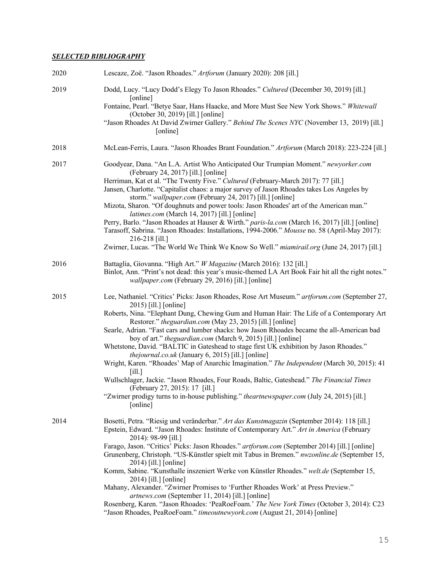# *SELECTED BIBLIOGRAPHY*

| 2020 | Lescaze, Zoë. "Jason Rhoades." Artforum (January 2020): 208 [ill.]                                                                                                                                                                                                                                                                                                                                                                                                                                                                                                                                                                                                                                                                                                                                                                                                                                                                                                      |
|------|-------------------------------------------------------------------------------------------------------------------------------------------------------------------------------------------------------------------------------------------------------------------------------------------------------------------------------------------------------------------------------------------------------------------------------------------------------------------------------------------------------------------------------------------------------------------------------------------------------------------------------------------------------------------------------------------------------------------------------------------------------------------------------------------------------------------------------------------------------------------------------------------------------------------------------------------------------------------------|
| 2019 | Dodd, Lucy. "Lucy Dodd's Elegy To Jason Rhoades." Cultured (December 30, 2019) [ill.]<br>[online]<br>Fontaine, Pearl. "Betye Saar, Hans Haacke, and More Must See New York Shows." Whitewall<br>(October 30, 2019) [ill.] [online]<br>"Jason Rhoades At David Zwirner Gallery." Behind The Scenes NYC (November 13, 2019) [ill.]<br>[online]                                                                                                                                                                                                                                                                                                                                                                                                                                                                                                                                                                                                                            |
| 2018 | McLean-Ferris, Laura. "Jason Rhoades Brant Foundation." Artforum (March 2018): 223-224 [ill.]                                                                                                                                                                                                                                                                                                                                                                                                                                                                                                                                                                                                                                                                                                                                                                                                                                                                           |
| 2017 | Goodyear, Dana. "An L.A. Artist Who Anticipated Our Trumpian Moment." newyorker.com<br>(February 24, 2017) [ill.] [online]<br>Herriman, Kat et al. "The Twenty Five." Cultured (February-March 2017): 77 [ill.]<br>Jansen, Charlotte. "Capitalist chaos: a major survey of Jason Rhoades takes Los Angeles by<br>storm." wallpaper.com (February 24, 2017) [ill.] [online]<br>Mizota, Sharon. "Of doughnuts and power tools: Jason Rhoades' art of the American man."<br>latimes.com (March 14, 2017) [ill.] [online]<br>Perry, Barlo. "Jason Rhoades at Hauser & Wirth." paris-la.com (March 16, 2017) [ill.] [online]<br>Tarasoff, Sabrina. "Jason Rhoades: Installations, 1994-2006." Mousse no. 58 (April-May 2017):<br>216-218 [ill.]<br>Zwirner, Lucas. "The World We Think We Know So Well." miamirail.org (June 24, 2017) [ill.]                                                                                                                                |
| 2016 | Battaglia, Giovanna. "High Art." W Magazine (March 2016): 132 [ill.]<br>Binlot, Ann. "Print's not dead: this year's music-themed LA Art Book Fair hit all the right notes."<br>wallpaper.com (February 29, 2016) [ill.] [online]                                                                                                                                                                                                                                                                                                                                                                                                                                                                                                                                                                                                                                                                                                                                        |
| 2015 | Lee, Nathaniel. "Critics' Picks: Jason Rhoades, Rose Art Museum." artforum.com (September 27,<br>2015) [ill.] [online]<br>Roberts, Nina. "Elephant Dung, Chewing Gum and Human Hair: The Life of a Contemporary Art<br>Restorer." theguardian.com (May 23, 2015) [ill.] [online]<br>Searle, Adrian. "Fast cars and lumber shacks: how Jason Rhoades became the all-American bad<br>boy of art." <i>theguardian.com</i> (March 9, 2015) [ill.] [online]<br>Whetstone, David. "BALTIC in Gateshead to stage first UK exhibition by Jason Rhoades."<br>thejournal.co.uk (January 6, 2015) [ill.] [online]<br>Wright, Karen. "Rhoades' Map of Anarchic Imagination." The Independent (March 30, 2015): 41<br>$\lceil$ ill.]<br>Wullschlager, Jackie. "Jason Rhoades, Four Roads, Baltic, Gateshead." The Financial Times<br>(February 27, 2015): 17 [ill.]<br>"Zwirner prodigy turns to in-house publishing." <i>theartnewspaper.com</i> (July 24, 2015) [ill.]<br>[online] |
| 2014 | Bosetti, Petra. "Riesig und veränderbar." Art das Kunstmagazin (September 2014): 118 [ill.]<br>Epstein, Edward. "Jason Rhoades: Institute of Contemporary Art." Art in America (February<br>2014): 98-99 [ill.]<br>Farago, Jason. "Critics' Picks: Jason Rhoades." artforum.com (September 2014) [ill.] [online]<br>Grunenberg, Christoph. "US-Künstler spielt mit Tabus in Bremen." nwzonline.de (September 15,<br>2014) [ill.] [online]<br>Komm, Sabine. "Kunsthalle inszeniert Werke von Künstler Rhoades." welt.de (September 15,<br>2014) [ill.] [online]<br>Mahany, Alexander. "Zwirner Promises to 'Further Rhoades Work' at Press Preview."<br>artnews.com (September 11, 2014) [ill.] [online]<br>Rosenberg, Karen. "Jason Rhoades: 'PeaRoeFoam.' The New York Times (October 3, 2014): C23<br>"Jason Rhoades, PeaRoeFoam." timeoutnewyork.com (August 21, 2014) [online]                                                                                      |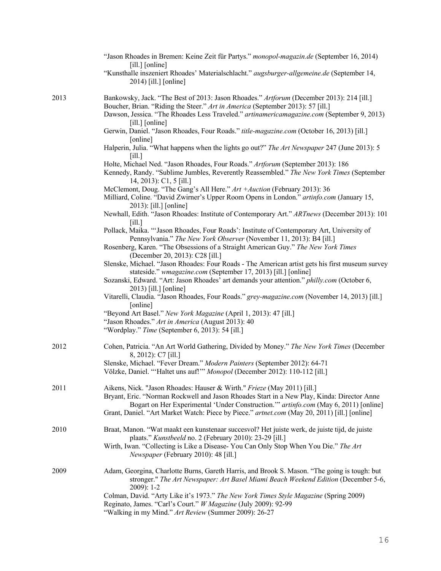|      | "Jason Rhoades in Bremen: Keine Zeit für Partys." monopol-magazin.de (September 16, 2014)<br>[ill.] [online]<br>"Kunsthalle inszeniert Rhoades' Materialschlacht." augsburger-allgemeine.de (September 14,<br>2014) [ill.] [online]                                                        |
|------|--------------------------------------------------------------------------------------------------------------------------------------------------------------------------------------------------------------------------------------------------------------------------------------------|
| 2013 | Bankowsky, Jack. "The Best of 2013: Jason Rhoades." Artforum (December 2013): 214 [ill.]<br>Boucher, Brian. "Riding the Steer." Art in America (September 2013): 57 [ill.]<br>Dawson, Jessica. "The Rhoades Less Traveled." artinamericamagazine.com (September 9, 2013)<br>$[i]$ [online] |
|      | Gerwin, Daniel. "Jason Rhoades, Four Roads." title-magazine.com (October 16, 2013) [ill.]<br>[online]<br>Halperin, Julia. "What happens when the lights go out?" The Art Newspaper 247 (June 2013): 5                                                                                      |
|      | $\lceil$ ill.]<br>Holte, Michael Ned. "Jason Rhoades, Four Roads." Artforum (September 2013): 186<br>Kennedy, Randy. "Sublime Jumbles, Reverently Reassembled." The New York Times (September                                                                                              |
|      | 14, 2013): C1, 5 [ill.]<br>McClemont, Doug. "The Gang's All Here." Art + Auction (February 2013): 36<br>Milliard, Coline. "David Zwirner's Upper Room Opens in London." artinfo.com (January 15,<br>2013): [ill.] [online]                                                                 |
|      | Newhall, Edith. "Jason Rhoades: Institute of Contemporary Art." ARTnews (December 2013): 101<br>$\lceil$ ill.]                                                                                                                                                                             |
|      | Pollack, Maika. "'Jason Rhoades, Four Roads': Institute of Contemporary Art, University of<br>Pennsylvania." The New York Observer (November 11, 2013): B4 [ill.]                                                                                                                          |
|      | Rosenberg, Karen. "The Obsessions of a Straight American Guy." The New York Times<br>(December 20, 2013): C28 [ill.]<br>Slenske, Michael. "Jason Rhoades: Four Roads - The American artist gets his first museum survey                                                                    |
|      | stateside." wmagazine.com (September 17, 2013) [ill.] [online]<br>Sozanski, Edward. "Art: Jason Rhoades' art demands your attention." philly.com (October 6,<br>2013) [ill.] [online]                                                                                                      |
|      | Vitarelli, Claudia. "Jason Rhoades, Four Roads." grey-magazine.com (November 14, 2013) [ill.]<br>[online]                                                                                                                                                                                  |
|      | "Beyond Art Basel." New York Magazine (April 1, 2013): 47 [ill.]<br>"Jason Rhoades." Art in America (August 2013): 40<br>"Wordplay." Time (September 6, 2013): 54 [ill.]                                                                                                                   |
| 2012 | Cohen, Patricia. "An Art World Gathering, Divided by Money." The New York Times (December<br>8, 2012): C7 [ill.]                                                                                                                                                                           |
|      | Slenske, Michael. "Fever Dream." Modern Painters (September 2012): 64-71<br>Völzke, Daniel. "'Haltet uns auf!'" Monopol (December 2012): 110-112 [ill.]                                                                                                                                    |
| 2011 | Aikens, Nick. "Jason Rhoades: Hauser & Wirth." Frieze (May 2011) [ill.]<br>Bryant, Eric. "Norman Rockwell and Jason Rhoades Start in a New Play, Kinda: Director Anne<br>Bogart on Her Experimental 'Under Construction." artinfo.com (May 6, 2011) [online]                               |
|      | Grant, Daniel. "Art Market Watch: Piece by Piece." artnet.com (May 20, 2011) [ill.] [online]                                                                                                                                                                                               |
| 2010 | Braat, Manon. "Wat maakt een kunstenaar succesvol? Het juiste werk, de juiste tijd, de juiste<br>plaats." Kunstbeeld no. 2 (February 2010): 23-29 [ill.]                                                                                                                                   |
|      | Wirth, Iwan. "Collecting is Like a Disease- You Can Only Stop When You Die." The Art<br>Newspaper (February 2010): 48 [ill.]                                                                                                                                                               |
| 2009 | Adam, Georgina, Charlotte Burns, Gareth Harris, and Brook S. Mason. "The going is tough: but<br>stronger." The Art Newspaper: Art Basel Miami Beach Weekend Edition (December 5-6,<br>2009): 1-2                                                                                           |
|      | Colman, David. "Arty Like it's 1973." The New York Times Style Magazine (Spring 2009)<br>Reginato, James. "Carl's Court." W Magazine (July 2009): 92-99<br>"Walking in my Mind." Art Review (Summer 2009): 26-27                                                                           |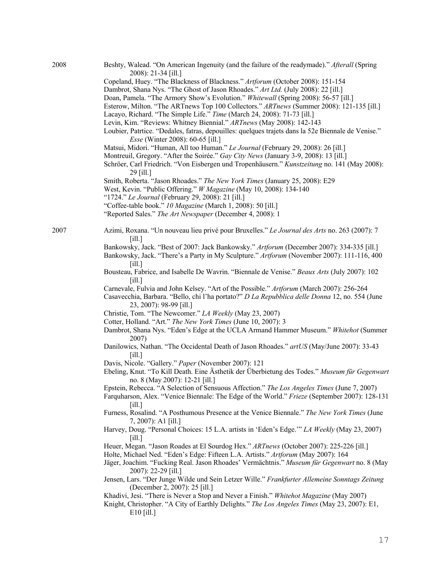| 2008 | Beshty, Walead. "On American Ingenuity (and the failure of the readymade)." Afterall (Spring<br>2008): 21-34 [ill.]            |
|------|--------------------------------------------------------------------------------------------------------------------------------|
|      | Copeland, Huey. "The Blackness of Blackness." Artforum (October 2008): 151-154                                                 |
|      | Dambrot, Shana Nys. "The Ghost of Jason Rhoades." Art Ltd. (July 2008): 22 [ill.]                                              |
|      | Doan, Pamela. "The Armory Show's Evolution." Whitewall (Spring 2008): 56-57 [ill.]                                             |
|      | Esterow, Milton. "The ARTnews Top 100 Collectors." ARTnews (Summer 2008): 121-135 [ill.]                                       |
|      | Lacayo, Richard. "The Simple Life." Time (March 24, 2008): 71-73 [ill.]                                                        |
|      | Levin, Kim. "Reviews: Whitney Biennial." ARTnews (May 2008): 142-143                                                           |
|      | Loubier, Patrtice. "Dedales, fatras, depouilles: quelques trajets dans la 52e Biennale de Venise."                             |
|      | <i>Esse</i> (Winter 2008): 60-65 [ill.]                                                                                        |
|      | Matsui, Midori. "Human, All too Human." Le Journal (February 29, 2008): 26 [ill.]                                              |
|      | Montreuil, Gregory. "After the Soirée." Gay City News (January 3-9, 2008): 13 [ill.]                                           |
|      | Schröer, Carl Friedrich. "Von Eisbergen und Tropenhäusern." Kunstzeitung no. 141 (May 2008):<br>29 [ill.]                      |
|      | Smith, Roberta. "Jason Rhoades." The New York Times (January 25, 2008): E29                                                    |
|      | West, Kevin. "Public Offering." W Magazine (May 10, 2008): 134-140                                                             |
|      | "1724." Le Journal (February 29, 2008): 21 [ill.]                                                                              |
|      | "Coffee-table book." 10 Magazine (March 1, 2008): 50 [ill.]                                                                    |
|      | "Reported Sales." The Art Newspaper (December 4, 2008): 1                                                                      |
|      |                                                                                                                                |
| 2007 | Azimi, Roxana. "Un nouveau lieu privé pour Bruxelles." Le Journal des Arts no. 263 (2007): 7<br>[i]                            |
|      | Bankowsky, Jack. "Best of 2007: Jack Bankowsky." Artforum (December 2007): 334-335 [ill.]                                      |
|      | Bankowsky, Jack. "There's a Party in My Sculpture." Artforum (November 2007): 111-116, 400<br><b>Fill.1</b>                    |
|      | Bousteau, Fabrice, and Isabelle De Wavrin. "Biennale de Venise." Beaux Arts (July 2007): 102<br>[i]                            |
|      | Carnevale, Fulvia and John Kelsey. "Art of the Possible." Artforum (March 2007): 256-264                                       |
|      | Casavecchia, Barbara. "Bello, chi l'ha portato?" D La Repubblica delle Donna 12, no. 554 (June<br>23, 2007): 98-99 [ill.]      |
|      | Christie, Tom. "The Newcomer." LA Weekly (May 23, 2007)                                                                        |
|      | Cotter, Holland. "Art." The New York Times (June 10, 2007): 3                                                                  |
|      | Dambrot, Shana Nys. "Eden's Edge at the UCLA Armand Hammer Museum." Whitehot (Summer<br>2007)                                  |
|      | Danilowics, Nathan. "The Occidental Death of Jason Rhoades." art US (May/June 2007): 33-43<br>[i]                              |
|      | Davis, Nicole. "Gallery." Paper (November 2007): 121                                                                           |
|      | Ebeling, Knut. "To Kill Death. Eine Ästhetik der Überbietung des Todes." Museum für Gegenwart                                  |
|      | no. 8 (May 2007): 12-21 [ill.]                                                                                                 |
|      | Epstein, Rebecca. "A Selection of Sensuous Affection." The Los Angeles Times (June 7, 2007)                                    |
|      | Farquharson, Alex. "Venice Biennale: The Edge of the World." Frieze (September 2007): 128-131<br>$\lceil$ ill.]                |
|      | Furness, Rosalind. "A Posthumous Presence at the Venice Biennale." The New York Times (June<br>7, 2007): A1 [ill.]             |
|      | Harvey, Doug. "Personal Choices: 15 L.A. artists in 'Eden's Edge." LA Weekly (May 23, 2007)<br>$\lceil$ ill.]                  |
|      | Heuer, Megan. "Jason Roades at El Sourdog Hex." ARTnews (October 2007): 225-226 [ill.]                                         |
|      | Holte, Michael Ned. "Eden's Edge: Fifteen L.A. Artists." Artforum (May 2007): 164                                              |
|      | Jäger, Joachim. "Fucking Real. Jason Rhoades' Vermächtnis." Museum für Gegenwart no. 8 (May<br>2007): 22-29 [ill.]             |
|      | Jensen, Lars. "Der Junge Wilde und Sein Letzer Wille." Frankfurter Allemeine Sonntags Zeitung<br>(December 2, 2007): 25 [ill.] |
|      | Khadivi, Jesi. "There is Never a Stop and Never a Finish." Whitehot Magazine (May 2007)                                        |
|      | Knight, Christopher. "A City of Earthly Delights." The Los Angeles Times (May 23, 2007): E1,<br>$E10$ [ill.]                   |
|      |                                                                                                                                |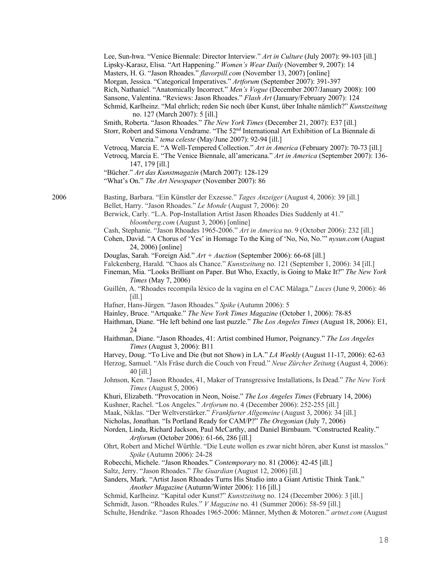|      | Lee, Sun-hwa. "Venice Biennale: Director Interview." Art in Culture (July 2007): 99-103 [ill.]<br>Lipsky-Karasz, Elisa. "Art Happening." Women's Wear Daily (November 9, 2007): 14<br>Masters, H. G. "Jason Rhoades." flavorpill.com (November 13, 2007) [online]<br>Morgan, Jessica. "Categorical Imperatives." Artforum (September 2007): 391-397<br>Rich, Nathaniel. "Anatomically Incorrect." Men's Vogue (December 2007/January 2008): 100<br>Sansone, Valentina. "Reviews: Jason Rhoades." Flash Art (January/February 2007): 124<br>Schmid, Karlheinz. "Mal ehrlich; reden Sie noch über Kunst, über Inhalte nämlich?" Kunstzeitung<br>no. 127 (March 2007): 5 [ill.]<br>Smith, Roberta. "Jason Rhoades." The New York Times (December 21, 2007): E37 [ill.]<br>Storr, Robert and Simona Vendrame. "The 52 <sup>nd</sup> International Art Exhibition of La Biennale di<br>Venezia." tema celeste (May/June 2007): 92-94 [ill.]<br>Vetrocq, Marcia E. "A Well-Tempered Collection." Art in America (February 2007): 70-73 [ill.]<br>Vetrocq, Marcia E. "The Venice Biennale, all'americana." Art in America (September 2007): 136-<br>147, 179 [ill.]<br>"Bücher." Art das Kunstmagazin (March 2007): 128-129<br>"What's On." The Art Newspaper (November 2007): 86                                                                                                                                                                                                                                                                                                                                                                                                                                                                                                                                                                                                                                                                                 |
|------|------------------------------------------------------------------------------------------------------------------------------------------------------------------------------------------------------------------------------------------------------------------------------------------------------------------------------------------------------------------------------------------------------------------------------------------------------------------------------------------------------------------------------------------------------------------------------------------------------------------------------------------------------------------------------------------------------------------------------------------------------------------------------------------------------------------------------------------------------------------------------------------------------------------------------------------------------------------------------------------------------------------------------------------------------------------------------------------------------------------------------------------------------------------------------------------------------------------------------------------------------------------------------------------------------------------------------------------------------------------------------------------------------------------------------------------------------------------------------------------------------------------------------------------------------------------------------------------------------------------------------------------------------------------------------------------------------------------------------------------------------------------------------------------------------------------------------------------------------------------------------------------------------------------------------------------------------------|
| 2006 | Basting, Barbara. "Ein Künstler der Exzesse." Tages Anzeiger (August 4, 2006): 39 [ill.]<br>Bellet, Harry. "Jason Rhoades." Le Monde (August 7, 2006): 20<br>Berwick, Carly. "L.A. Pop-Installation Artist Jason Rhoades Dies Suddenly at 41."<br>bloomberg.com (August 3, 2006) [online]<br>Cash, Stephanie. "Jason Rhoades 1965-2006." Art in America no. 9 (October 2006): 232 [ill.]<br>Cohen, David. "A Chorus of 'Yes' in Homage To the King of 'No, No, No." nysun.com (August<br>24, 2006) [online]<br>Douglas, Sarah. "Foreign Aid." $Art + Auction$ (September 2006): 66-68 [ill.]<br>Falckenberg, Harald. "Chaos als Chance." Kunstzeitung no. 121 (September 1, 2006): 34 [ill.]<br>Fineman, Mia. "Looks Brilliant on Paper. But Who, Exactly, is Going to Make It?" The New York<br>Times (May 7, 2006)<br>Guillén, A. "Rhoades recompila léxico de la vagina en el CAC Màlaga." Luces (June 9, 2006): 46<br>[i]                                                                                                                                                                                                                                                                                                                                                                                                                                                                                                                                                                                                                                                                                                                                                                                                                                                                                                                                                                                                                              |
|      | Hafner, Hans-Jürgen. "Jason Rhoades." Spike (Autumn 2006): 5<br>Hainley, Bruce. "Artquake." The New York Times Magazine (October 1, 2006): 78-85<br>Haithman, Diane. "He left behind one last puzzle." The Los Angeles Times (August 18, 2006): E1,<br>24<br>Haithman, Diane. "Jason Rhoades, 41: Artist combined Humor, Poignancy." The Los Angeles<br>Times (August 3, 2006): B11<br>Harvey, Doug. "To Live and Die (but not Show) in LA." LA Weekly (August 11-17, 2006): 62-63<br>Herzog, Samuel. "Als Fräse durch die Couch von Freud." Neue Zürcher Zeitung (August 4, 2006):<br>40 [ill.]<br>Johnson, Ken. "Jason Rhoades, 41, Maker of Transgressive Installations, Is Dead." The New York<br>Times (August 5, 2006)<br>Khuri, Elizabeth. "Provocation in Neon, Noise." The Los Angeles Times (February 14, 2006)<br>Kushner, Rachel. "Los Angeles." Artforum no. 4 (December 2006): 252-255 [ill.]<br>Maak, Niklas. "Der Weltverstärker." Frankfurter Allgemeine (August 3, 2006): 34 [ill.]<br>Nicholas, Jonathan. "Is Portland Ready for CAM/P?" The Oregonian (July 7, 2006)<br>Norden, Linda, Richard Jackson, Paul McCarthy, and Daniel Birnbaum. "Constructed Reality."<br>Artforum (October 2006): 61-66, 286 [ill.]<br>Ohrt, Robert and Michel Würthle. "Die Leute wollen es zwar nicht hören, aber Kunst ist masslos."<br>Spike (Autumn 2006): 24-28<br>Robecchi, Michele. "Jason Rhoades." Contemporary no. 81 (2006): 42-45 [ill.]<br>Saltz, Jerry. "Jason Rhoades." The Guardian (August 12, 2006) [ill.]<br>Sanders, Mark. "Artist Jason Rhoades Turns His Studio into a Giant Artistic Think Tank."<br>Another Magazine (Autumn/Winter 2006): 116 [ill.]<br>Schmid, Karlheinz. "Kapital oder Kunst?" Kunstzeitung no. 124 (December 2006): 3 [ill.]<br>Schmidt, Jason. "Rhoades Rules." V Magazine no. 41 (Summer 2006): 58-59 [ill.]<br>Schulte, Hendrike. "Jason Rhoades 1965-2006: Männer, Mythen & Motoren." artnet.com (August |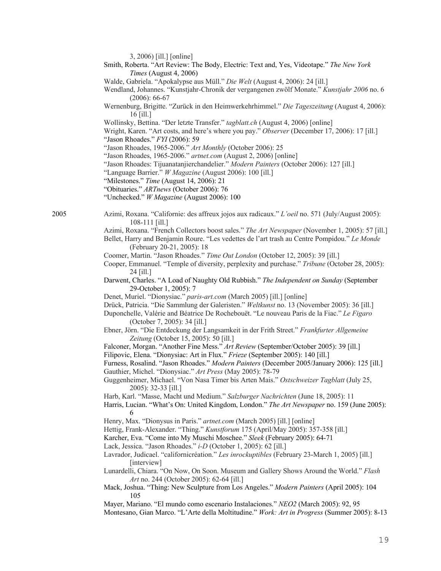|  | 3, 2006) [ill.] [online] |  |
|--|--------------------------|--|
|  |                          |  |

- Smith, Roberta. "Art Review: The Body, Electric: Text and, Yes, Videotape." *The New York Times* (August 4, 2006)
- Walde, Gabriela. "Apokalypse aus Müll." *Die Welt* (August 4, 2006): 24 [ill.]
- Wendland, Johannes. "Kunstjahr-Chronik der vergangenen zwölf Monate." *Kunstjahr 2006* no. 6 (2006): 66-67
- Wernenburg, Brigitte. "Zurück in den Heimwerkehrhimmel." *Die Tageszeitung* (August 4, 2006): 16 [ill.]
- Wollinsky, Bettina. "Der letzte Transfer." *tagblatt.ch* (August 4, 2006) [online]
- Wright, Karen. "Art costs, and here's where you pay." *Observer* (December 17, 2006): 17 [ill.]
- "Jason Rhoades." *FYI* (2006): 59
- "Jason Rhoades, 1965-2006." *Art Monthly* (October 2006): 25
- "Jason Rhoades, 1965-2006." *artnet.com* (August 2, 2006) [online]
- "Jason Rhoades: Tijuanatanjierchandelier." *Modern Painters* (October 2006): 127 [ill.]
- "Language Barrier." *W Magazine* (August 2006): 100 [ill.]
- "Milestones." *Time* (August 14, 2006): 21
- "Obituaries." *ARTnews* (October 2006): 76
- "Unchecked." *W Magazine* (August 2006): 100
- 2005 Azimi, Roxana. "Californie: des affreux jojos aux radicaux." *L'oeil* no. 571 (July/August 2005): 108-111 [ill.]
	- Azimi, Roxana. "French Collectors boost sales." *The Art Newspaper* (November 1, 2005): 57 [ill.]
	- Bellet, Harry and Benjamin Roure. "Les vedettes de l'art trash au Centre Pompidou." *Le Monde* (February 20-21, 2005): 18
	- Coomer, Martin. "Jason Rhoades." *Time Out London* (October 12, 2005): 39 [ill.]
	- Cooper, Emmanuel. "Temple of diversity, perplexity and purchase." *Tribune* (October 28, 2005): 24 [ill.]
	- Darwent, Charles. "A Load of Naughty Old Rubbish." *The Independent on Sunday* (September 29-October 1, 2005): 7
	- Denet, Muriel. "Dionysiac." *paris-art.com* (March 2005) [ill.] [online]
	- Drück, Patricia. "Die Sammlung der Galeristen." *Weltkunst* no. 13 (November 2005): 36 [ill.]
	- Duponchelle, Valérie and Béatrice De Rochebouët. "Le nouveau Paris de la Fiac." *Le Figaro* (October 7, 2005): 34 [ill.]
	- Ebner, Jörn. "Die Entdeckung der Langsamkeit in der Frith Street." *Frankfurter Allgemeine Zeitung* (October 15, 2005): 50 [ill.]
	- Falconer, Morgan. "Another Fine Mess." *Art Review* (September/October 2005): 39 [ill.]
	- Filipovic, Elena. "Dionysiac: Art in Flux." *Frieze* (September 2005): 140 [ill.]

Furness, Rosalind. "Jason Rhoades." *Modern Painters* (December 2005/January 2006): 125 [ill.] Gauthier, Michel. "Dionysiac." *Art Press* (May 2005): 78-79

- Guggenheimer, Michael. "Von Nasa Timer bis Arten Mais." *Ostschweizer Tagblatt* (July 25, 2005): 32-33 [ill.]
- Harb, Karl. "Masse, Macht und Medium." *Salzburger Nachrichten* (June 18, 2005): 11
- Harris, Lucian. "What's On: United Kingdom, London." *The Art Newspaper* no. 159 (June 2005): 6
- Henry, Max. "Dionysus in Paris." *artnet.com* (March 2005) [ill.] [online]
- Hettig, Frank-Alexander. "Thing." *Kunstforum* 175 (April/May 2005): 357-358 [ill.]
- Karcher, Eva. "Come into My Muschi Moschee." *Sleek* (February 2005): 64-71
- Lack, Jessica. "Jason Rhoades." *i-D* (October 1, 2005): 62 [ill.]
- Lavrador, Judicael. "californicréation." *Les inrockuptibles* (February 23-March 1, 2005) [ill.] [interview]
- Lunardelli, Chiara. "On Now, On Soon. Museum and Gallery Shows Around the World." *Flash Art* no. 244 (October 2005): 62-64 [ill.]
- Mack, Joshua. "Thing: New Sculpture from Los Angeles." *Modern Painters* (April 2005): 104 105

Mayer, Mariano. "El mundo como escenario Instalaciones." *NEO2* (March 2005): 92, 95 Montesano, Gian Marco. "L'Arte della Moltitudine." *Work: Art in Progress* (Summer 2005): 8-13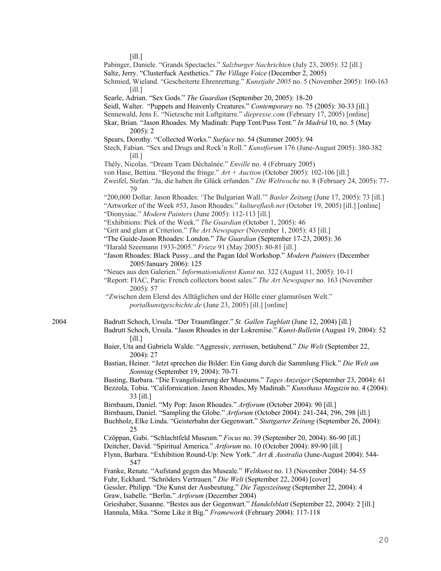[ill.]

Pabinger, Daniele. "Grands Spectacles." *Salzburger Nachrichten* (July 23, 2005): 32 [ill.]

- Saltz, Jerry. "Clusterfuck Aesthetics." *The Village Voice* (December 2, 2005)
- Schmied, Wieland. "Gescheiterte Ehrenrettung." *Kunstjahr 2005* no. 5 (November 2005): 160-163 [ill.]
- Searle, Adrian. "Sex Gods." *The Guardian* (September 20, 2005): 18-20

Seidl, Walter. "Puppets and Heavenly Creatures." *Contemporary* no. 75 (2005): 30-33 [ill.]

- Sennewald, Jens E. "Nietzsche mit Luftgitarre." *diepresse.com* (February 17, 2005) [online]
- Skar, Brian. "Jason Rhoades. My Madinah: Pupp Tent/Puss Tent." *In Madrid* 10, no. 5 (May 2005): 2

Spears, Dorothy. "Collected Works." *Surface* no. 54 (Summer 2005): 94

- Stech, Fabian. "Sex and Drugs and Rock'n Roll." *Kunstforum* 176 (June-August 2005): 380-382 [ill.]
- Thély, Nicolas. "Dream Team Déchaînée." *Enville* no. 4 (February 2005)
- von Hase, Bettina. "Beyond the fringe." *Art + Auction* (October 2005): 102-106 [ill.]
- Zweifel, Stefan. "Ja, die haben ihr Glück erfunden." *Die Weltwoche* no. 8 (February 24, 2005): 77- 79
- "200,000 Dollar. Jason Rhoades: 'The Bulgarian Wall.'" *Basler Zeitung* (June 17, 2005): 73 [ill.]
- "Artworker of the Week #53, Jason Rhoades." *kultureflash.net* (October 19, 2005) [ill.] [online] "Dionysiac." *Modern Painters* (June 2005): 112-113 [ill.]
- "Exhibitions: Pick of the Week." *The Guardian* (October 1, 2005): 46
- "Grit and glam at Criterion." *The Art Newspaper* (November 1, 2005): 43 [ill.]
- "The Guide-Jason Rhoades: London." *The Guardian* (September 17-23, 2005): 36
- "Harald Szeemann 1933-2005." *Frieze* 91 (May 2005): 80-81 [ill.]
- "Jason Rhoades: Black Pussy...and the Pagan Idol Workshop." *Modern Painters* (December 2005/January 2006): 125
- "Neues aus den Galerien." *Informationsdienst Kunst* no. 322 (August 11, 2005): 10-11
- "Report: FIAC, Paris: French collectors boost sales." *The Art Newspaper* no. 163 (November 2005): 57
- "Zwischen dem Elend des Alltäglichen und der Hölle einer glamurösen Welt." *portalkunstgeschichte.de* (June 23, 2005) [ill.] [online]
- 2004 Badrutt Schoch, Ursula. "Der Traumfänger." *St. Gallen Tagblatt* (June 12, 2004) [ill.]
	- Badrutt Schoch, Ursula. "Jason Rhoades in der Lokremise." *Kunst-Bulletin* (August 19, 2004): 52 [ill.]
	- Baier, Uta and Gabriela Walde. "Aggressiv, zerrissen, betäubend." *Die Welt* (September 22, 2004): 27
	- Bastian, Heiner. "Jetzt sprechen die Bilder: Ein Gang durch die Sammlung Flick." *Die Welt am Sonntag* (September 19, 2004): 70-71
	- Basting, Barbara. "Die Evangelisierung der Museums." *Tages Anzeiger* (September 23, 2004): 61
	- Bezzola, Tobia. "Californication. Jason Rhoades, My Madinah." *Kunsthaus Magazin* no. 4 (2004): 33 [ill.]
	- Birnbaum, Daniel. "My Pop: Jason Rhoades." *Artforum* (October 2004): 90 [ill.]
	- Birnbaum, Daniel. "Sampling the Globe." *Artforum* (October 2004): 241-244, 296, 298 [ill.]
	- Buchholz, Elke Linda. "Geisterbahn der Gegenwart." *Stuttgarter Zeitung* (September 26, 2004): 25
	- Czöppan, Gabi. "Schlachtfeld Museum." *Focus* no. 39 (September 20, 2004): 86-90 [ill.]
	- Deitcher, David. "Spiritual America." *Artforum* no. 10 (October 2004): 89-90 [ill.]
	- Flynn, Barbara. "Exhibition Round-Up: New York." *Art & Australia* (June-August 2004): 544- 547

Franke, Renate. "Aufstand gegen das Museale." *Weltkunst* no. 13 (November 2004): 54-55 Fuhr, Eckhard. "Schröders Vertrauen." *Die Welt* (September 22, 2004) [cover] Gessler, Philipp. "Die Kunst der Ausbeutung." *Die Tageszeitung* (September 22, 2004): 4 Graw, Isabelle. "Berlin." *Artforum* (December 2004)

Grieshaber, Susanne. "Bestes aus der Gegenwart." *Handelsblatt* (September 22, 2004): 2 [ill.] Hannula, Mika. "Some Like it Big." *Framework* (February 2004): 117-118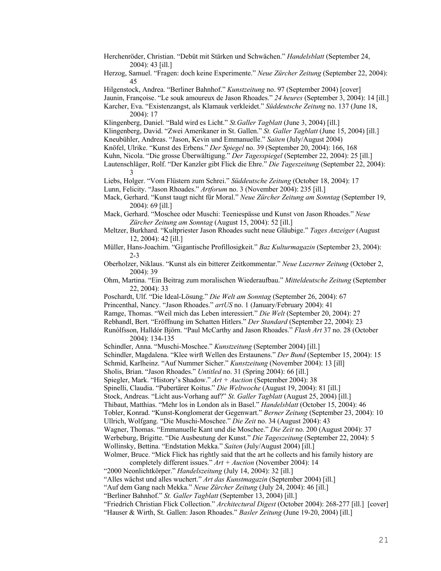- Herchenröder, Christian. "Debüt mit Stärken und Schwächen." *Handelsblatt* (September 24, 2004): 43 [ill.]
- Herzog, Samuel. "Fragen: doch keine Experimente." *Neue Zürcher Zeitung* (September 22, 2004): 45
- Hilgenstock, Andrea. "Berliner Bahnhof." *Kunstzeitung* no. 97 (September 2004) [cover]
- Jaunin, Françoise. "Le souk amoureux de Jason Rhoades." *24 heures* (September 3, 2004): 14 [ill.]
- Karcher, Eva. "Existenzangst, als Klamauk verkleidet." *Süddeutsche Zeitung* no. 137 (June 18, 2004): 17
- Klingenberg, Daniel. "Bald wird es Licht." *St.Galler Tagblatt* (June 3, 2004) [ill.]
- Klingenberg, David. "Zwei Amerikaner in St. Gallen." *St. Galler Tagblatt* (June 15, 2004) [ill.]
- Kneubühler, Andreas. "Jason, Kevin und Emmanuelle." *Saiten* (July/August 2004)
- Knöfel, Ulrike. "Kunst des Erbens." *Der Spiegel* no. 39 (September 20, 2004): 166, 168
- Kuhn, Nicola. "Die grosse Überwältigung." *Der Tagesspiegel* (September 22, 2004): 25 [ill.]
- Lautenschläger, Rolf. "Der Kanzler gibt Flick die Ehre." *Die Tageszeitung* (September 22, 2004): 3
- Liebs, Holger. "Vom Flüstern zum Schrei." *Süddeutsche Zeitung* (October 18, 2004): 17
- Lunn, Felicity. "Jason Rhoades." *Artforum* no. 3 (November 2004): 235 [ill.]
- Mack, Gerhard. "Kunst taugt nicht für Moral." *Neue Zürcher Zeitung am Sonntag* (September 19, 2004): 69 [ill.]
- Mack, Gerhard. "Moschee oder Muschi: Teeniespässe und Kunst von Jason Rhoades." *Neue Zürcher Zeitung am Sonntag* (August 15, 2004): 52 [ill.]
- Meltzer, Burkhard. "Kultpriester Jason Rhoades sucht neue Gläubige." *Tages Anzeiger* (August 12, 2004): 42 [ill.]
- Müller, Hans-Joachim. "Gigantische Profillosigkeit." *Baz Kulturmagazin* (September 23, 2004): 2-3
- Oberholzer, Niklaus. "Kunst als ein bitterer Zeitkommentar." *Neue Luzerner Zeitung* (October 2, 2004): 39
- Ohm, Martina. "Ein Beitrag zum moralischen Wiederaufbau." *Mitteldeutsche Zeitung* (September 22, 2004): 33
- Poschardt, Ulf. "Die Ideal-Lösung." *Die Welt am Sonntag* (September 26, 2004): 67
- Princenthal, Nancy. "Jason Rhoades." *artUS* no. 1 (January/February 2004): 41
- Ramge, Thomas. "Weil mich das Leben interessiert." *Die Welt* (September 20, 2004): 27
- Rebhandl, Bert. "Eröffnung im Schatten Hitlers." *Der Standard* (September 22, 2004): 23
- Runólfsson, Halldór Björn. "Paul McCarthy and Jason Rhoades." *Flash Art* 37 no. 28 (October 2004): 134-135
- Schindler, Anna. "Muschi-Moschee." *Kunstzeitung* (September 2004) [ill.]
- Schindler, Magdalena. "Klee wirft Wellen des Erstaunens." *Der Bund* (September 15, 2004): 15
- Schmid, Karlheinz. "Auf Nummer Sicher." *Kunstzeitung* (November 2004): 13 [ill]
- Sholis, Brian. "Jason Rhoades." *Untitled* no. 31 (Spring 2004): 66 [ill.]
- Spiegler, Mark. "History's Shadow." *Art + Auction* (September 2004): 38
- Spinelli, Claudia. "Pubertärer Koitus." *Die Weltwoche* (August 19, 2004): 81 [ill.]
- Stock, Andreas. "Licht aus-Vorhang auf?" *St. Galler Tagblatt* (August 25, 2004) [ill.]
- Thibaut, Matthias. "Mehr los in London als in Basel." *Handelsblatt* (October 15, 2004): 46
- Tobler, Konrad. "Kunst-Konglomerat der Gegenwart." *Berner Zeitung* (September 23, 2004): 10
- Ullrich, Wolfgang. "Die Muschi-Moschee." *Die Zeit* no. 34 (August 2004): 43
- Wagner, Thomas. "Emmanuelle Kant und die Moschee." *Die Zeit* no. 200 (August 2004): 37
- Werbeburg, Brigitte. "Die Ausbeutung der Kunst." *Die Tageszeitung* (September 22, 2004): 5 Wollinsky, Bettina. "Endstation Mekka." *Saiten* (July/August 2004) [ill.]
- Wolmer, Bruce. "Mick Flick has rightly said that the art he collects and his family history are completely different issues." *Art + Auction* (November 2004): 14
- "2000 Neonlichtkörper." *Handelszeitung* (July 14, 2004): 32 [ill.]
- "Alles wächst und alles wuchert." *Art das Kunstmagazin* (September 2004) [ill.]
- "Auf dem Gang nach Mekka." *Neue Zürcher Zeitung* (July 24, 2004): 46 [ill.]
- "Berliner Bahnhof." *St. Galler Tagblatt* (September 13, 2004) [ill.]
- "Friedrich Christian Flick Collection." *Architectural Digest* (October 2004): 268-277 [ill.] [cover]
- "Hauser & Wirth, St. Gallen: Jason Rhoades." *Basler Zeitung* (June 19-20, 2004) [ill.]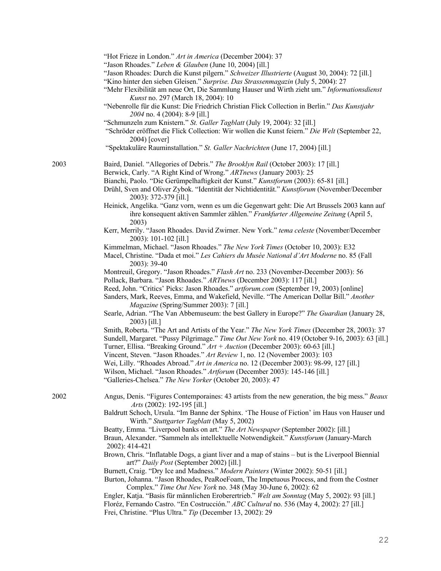| "Hot Frieze in London." Art in America (December 2004): 37 |  |  |  |
|------------------------------------------------------------|--|--|--|
|------------------------------------------------------------|--|--|--|

"Jason Rhoades." *Leben & Glauben* (June 10, 2004) [ill.]

"Schröder eröffnet die Flick Collection: Wir wollen die Kunst feiern." *Die Welt* (September 22, 2004) [cover]

"Spektakuläre Rauminstallation." *St. Galler Nachrichten* (June 17, 2004) [ill.]

2003 Baird, Daniel. "Allegories of Debris." *The Brooklyn Rail* (October 2003): 17 [ill.]

Berwick, Carly. "A Right Kind of Wrong." *ARTnews* (January 2003): 25

- Heinick, Angelika. "Ganz vorn, wenn es um die Gegenwart geht: Die Art Brussels 2003 kann auf ihre konsequent aktiven Sammler zählen." *Frankfurter Allgemeine Zeitung* (April 5, 2003)
- Kerr, Merrily. "Jason Rhoades. David Zwirner. New York." *tema celeste* (November/December 2003): 101-102 [ill.]
- Kimmelman, Michael. "Jason Rhoades." *The New York Times* (October 10, 2003): E32
- Macel, Christine. "Dada et moi." *Les Cahiers du Musée National d'Art Moderne* no. 85 (Fall 2003): 39-40

Montreuil, Gregory. "Jason Rhoades." *Flash Art* no. 233 (November-December 2003): 56 Pollack, Barbara. "Jason Rhoades." *ARTnews* (December 2003): 117 [ill.]

Reed, John. "Critics' Picks: Jason Rhoades." *artforum.com* (September 19, 2003) [online]

Sanders, Mark, Reeves, Emma, and Wakefield, Neville. "The American Dollar Bill." *Another Magazine* (Spring/Summer 2003): 7 [ill.]

- Searle, Adrian. "The Van Abbemuseum: the best Gallery in Europe?" *The Guardian* (January 28, 2003) [ill.]
- Smith, Roberta. "The Art and Artists of the Year." *The New York Times* (December 28, 2003): 37

Sundell, Margaret. "Pussy Pilgrimage." *Time Out New York* no. 419 (October 9-16, 2003): 63 [ill.]

Turner, Ellisa. "Breaking Ground." *Art + Auction* (December 2003): 60-63 [ill.]

Vincent, Steven. "Jason Rhoades." *Art Review* 1, no. 12 (November 2003): 103

Wei, Lilly. "Rhoades Abroad." *Art in America* no. 12 (December 2003): 98-99, 127 [ill.]

Wilson, Michael. "Jason Rhoades." *Artforum* (December 2003): 145-146 [ill.]

"Galleries-Chelsea." *The New Yorker* (October 20, 2003): 47

- 2002 Angus, Denis. "Figures Contemporaines: 43 artists from the new generation, the big mess." *Beaux Arts* (2002): 192-195 [ill.]
	- Baldrutt Schoch, Ursula. "Im Banne der Sphinx. 'The House of Fiction' im Haus von Hauser und Wirth." *Stuttgarter Tagblatt* (May 5, 2002)

Beatty, Emma. "Liverpool banks on art." *The Art Newspaper* (September 2002): [ill.]

Braun, Alexander. "Sammeln als intellektuelle Notwendigkeit." *Kunstforum* (January-March 2002): 414-421

Brown, Chris. "Inflatable Dogs, a giant liver and a map of stains – but is the Liverpool Biennial art?" *Daily Post* (September 2002) [ill.]

Burnett, Craig. "Dry Ice and Madness." *Modern Painters* (Winter 2002): 50-51 [ill.]

 Burton, Johanna. "Jason Rhoades, PeaRoeFoam, The Impetuous Process, and from the Costner Complex." *Time Out New York* no. 348 (May 30-June 6, 2002): 62

Engler, Katja. "Basis für männlichen Eroberertrieb." *Welt am Sonntag* (May 5, 2002): 93 [ill.] Floréz, Fernando Castro. "En Costrucción." *ABC Cultural* no. 536 (May 4, 2002): 27 [ill.] Frei, Christine. "Plus Ultra." *Tip* (December 13, 2002): 29

<sup>&</sup>quot;Jason Rhoades: Durch die Kunst pilgern." *Schweizer Illustrierte* (August 30, 2004): 72 [ill.]

<sup>&</sup>quot;Kino hinter den sieben Gleisen." *Surprise. Das Strassenmagazin* (July 5, 2004): 27

<sup>&</sup>quot;Mehr Flexibilität am neue Ort, Die Sammlung Hauser und Wirth zieht um." *Informationsdienst Kunst* no. 297 (March 18, 2004): 10

<sup>&</sup>quot;Nebenrolle für die Kunst: Die Friedrich Christian Flick Collection in Berlin." *Das Kunstjahr 2004* no. 4 (2004): 8-9 [ill.]

<sup>&</sup>quot;Schmunzeln zum Knistern." *St. Galler Tagblatt* (July 19, 2004): 32 [ill.]

Bianchi, Paolo. "Die Gerümpelhaftigkeit der Kunst." *Kunstforum* (2003): 65-81 [ill.]

Drühl, Sven and Oliver Zybok. "Identität der Nichtidentität." *Kunstforum* (November/December 2003): 372-379 [ill.]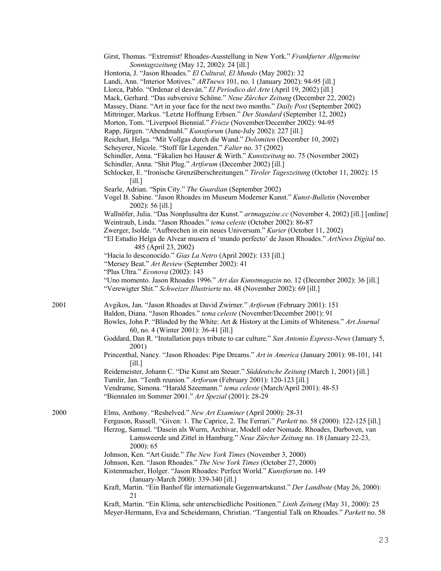|      | Girst, Thomas. "Extremist! Rhoades-Ausstellung in New York." Frankfurter Allgemeine<br>Sonntagszeitung (May 12, 2002): 24 [ill.]                                                              |
|------|-----------------------------------------------------------------------------------------------------------------------------------------------------------------------------------------------|
|      | Hontoria, J. "Jason Rhoades." El Cultural, El Mundo (May 2002): 32                                                                                                                            |
|      | Landi, Ann. "Interior Motives." ARTnews 101, no. 1 (January 2002): 94-95 [ill.]<br>Llorca, Pablo. "Ordenar el desván." El Periodico del Arte (April 19, 2002) [ill.]                          |
|      | Mack, Gerhard. "Das subversive Schöne." Neue Zürcher Zeitung (December 22, 2002)                                                                                                              |
|      | Massey, Diane. "Art in your face for the next two months." Daily Post (September 2002)                                                                                                        |
|      | Mittringer, Markus. "Letzte Hoffnung Erbsen." Der Standard (September 12, 2002)                                                                                                               |
|      | Morton, Tom. "Liverpool Biennial." Frieze (November/December 2002): 94-95                                                                                                                     |
|      | Rapp, Jürgen. "Abendmahl." Kunstforum (June-July 2002): 227 [ill.]                                                                                                                            |
|      | Reichart, Helga. "Mit Vollgas durch die Wand." Dolomiten (December 10, 2002)                                                                                                                  |
|      | Scheyerer, Nicole. "Stoff für Legenden." Falter no. 37 (2002)                                                                                                                                 |
|      | Schindler, Anna. "Fäkalien bei Hauser & Wirth." Kunstzeitung no. 75 (November 2002)                                                                                                           |
|      | Schindler, Anna. "Shit Plug." Artforum (December 2002) [ill.]                                                                                                                                 |
|      | Schlocker, E. "Ironische Grenzüberschreitungen." Tiroler Tageszeitung (October 11, 2002): 15<br>$[i$ ll.]                                                                                     |
|      | Searle, Adrian. "Spin City." The Guardian (September 2002)                                                                                                                                    |
|      | Vogel B. Sabine. "Jason Rhoades im Museum Moderner Kunst." Kunst-Bulletin (November<br>2002): 56 [ill.]                                                                                       |
|      | Wallnöfer, Julia. "Das Nonplusultra der Kunst." artmagazine.cc (November 4, 2002) [ill.] [online]<br>Weintraub, Linda. "Jason Rhoades." tema celeste (October 2002): 86-87                    |
|      | Zwerger, Isolde. "Aufbrechen in ein neues Universum." Kurier (October 11, 2002)                                                                                                               |
|      | "El Estudio Helga de Alvear musera el 'mundo perfecto' de Jason Rhoades." ArtNews Digital no.<br>485 (April 23, 2002)                                                                         |
|      | "Hacia lo desconocido." Gias La Netro (April 2002): 133 [ill.]                                                                                                                                |
|      | "Mersey Beat." Art Review (September 2002): 41                                                                                                                                                |
|      | "Plus Ultra." Econova (2002): 143                                                                                                                                                             |
|      | "Uno momento. Jason Rhoades 1996." Art das Kunstmagazin no. 12 (December 2002): 36 [ill.]<br>"Verewigter Shit." Schweizer Illustrierte no. 48 (November 2002): 69 [ill.]                      |
| 2001 | Avgikos, Jan. "Jason Rhoades at David Zwirner." Artforum (February 2001): 151<br>Baldon, Diana. "Jason Rhoades." tema celeste (November/December 2001): 91                                    |
|      | Bowles, John P. "Blinded by the White: Art & History at the Limits of Whiteness." Art Journal<br>60, no. 4 (Winter 2001): 36-41 [ill.]                                                        |
|      | Goddard, Dan R. "Installation pays tribute to car culture." San Antonio Express-News (January 5,<br>2001)                                                                                     |
|      | Princenthal, Nancy. "Jason Rhoades: Pipe Dreams." Art in America (January 2001): 98-101, 141<br>$\lceil$ ill.]                                                                                |
|      | Reidemeister, Johann C. "Die Kunst am Steuer." Süddeutsche Zeitung (March 1, 2001) [ill.]                                                                                                     |
|      | Tumlir, Jan. "Tenth reunion." Artforum (February 2001): 120-123 [ill.]                                                                                                                        |
|      | Vendrame, Simona. "Harald Szeemann." tema celeste (March/April 2001): 48-53<br>"Biennalen im Sommer 2001." Art Spezial (2001): 28-29                                                          |
| 2000 | Elms, Anthony. "Reshelved." New Art Examiner (April 2000): 28-31                                                                                                                              |
|      | Ferguson, Russell. "Given: 1. The Caprice, 2. The Ferrari." Parkett no. 58 (2000): 122-125 [ill.]                                                                                             |
|      | Herzog, Samuel. "Dasein als Wurm, Archivar, Modell oder Nomade. Rhoades, Darboven, van<br>Lamsweerde und Zittel in Hamburg." Neue Zürcher Zeitung no. 18 (January 22-23,<br>$2000$ : 65       |
|      | Johnson, Ken. "Art Guide." The New York Times (November 3, 2000)                                                                                                                              |
|      | Johnson, Ken. "Jason Rhoades." The New York Times (October 27, 2000)                                                                                                                          |
|      | Kistenmacher, Holger. "Jason Rhoades: Perfect World." Kunstforum no. 149<br>(January-March 2000): 339-340 [ill.]                                                                              |
|      | Kraft, Martin. "Ein Banhof für internationale Gegenwartskunst." Der Landbote (May 26, 2000):<br>21                                                                                            |
|      | Kraft, Martin. "Ein Klima, sehr unterschiedliche Positionen." Linth Zeitung (May 31, 2000): 25<br>Meyer-Hermann, Eva and Scheidemann, Christian. "Tangential Talk on Rhoades." Parkett no. 58 |

23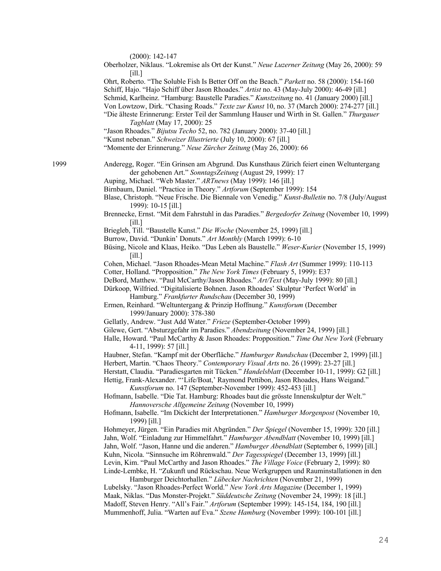|      | $(2000): 142-147$<br>Oberholzer, Niklaus. "Lokremise als Ort der Kunst." Neue Luzerner Zeitung (May 26, 2000): 59<br>[i]<br>Ohrt, Roberto. "The Soluble Fish Is Better Off on the Beach." Parkett no. 58 (2000): 154-160<br>Schiff, Hajo. "Hajo Schiff über Jason Rhoades." Artist no. 43 (May-July 2000): 46-49 [ill.]<br>Schmid, Karlheinz. "Hamburg: Baustelle Paradies." Kunstzeitung no. 41 (January 2000) [ill.]<br>Von Lowtzow, Dirk. "Chasing Roads." Texte zur Kunst 10, no. 37 (March 2000): 274-277 [ill.]<br>"Die älteste Erinnerung: Erster Teil der Sammlung Hauser und Wirth in St. Gallen." Thurgauer<br>Tagblatt (May 17, 2000): 25<br>"Jason Rhoades." Bijutsu Techo 52, no. 782 (January 2000): 37-40 [ill.]<br>"Kunst nebenan." Schweizer Illustrierte (July 10, 2000): 67 [ill.]<br>"Momente der Erinnerung." Neue Zürcher Zeitung (May 26, 2000): 66                                                                                                                                    |
|------|---------------------------------------------------------------------------------------------------------------------------------------------------------------------------------------------------------------------------------------------------------------------------------------------------------------------------------------------------------------------------------------------------------------------------------------------------------------------------------------------------------------------------------------------------------------------------------------------------------------------------------------------------------------------------------------------------------------------------------------------------------------------------------------------------------------------------------------------------------------------------------------------------------------------------------------------------------------------------------------------------------------|
| 1999 | Anderegg, Roger. "Ein Grinsen am Abgrund. Das Kunsthaus Zürich feiert einen Weltuntergang<br>der gehobenen Art." SonntagsZeitung (August 29, 1999): 17<br>Auping, Michael. "Web Master." ARTnews (May 1999): 146 [ill.]<br>Birnbaum, Daniel. "Practice in Theory." Artforum (September 1999): 154<br>Blase, Christoph. "Neue Frische. Die Biennale von Venedig." Kunst-Bulletin no. 7/8 (July/August<br>1999): 10-15 [ill.]                                                                                                                                                                                                                                                                                                                                                                                                                                                                                                                                                                                   |
|      | Brennecke, Ernst. "Mit dem Fahrstuhl in das Paradies." Bergedorfer Zeitung (November 10, 1999)<br>$\lceil$ ill.]<br>Briegleb, Till. "Baustelle Kunst." Die Woche (November 25, 1999) [ill.]<br>Burrow, David. "Dunkin' Donuts." Art Monthly (March 1999): 6-10<br>Büsing, Nicole and Klaas, Heiko. "Das Leben als Baustelle." Weser-Kurier (November 15, 1999)                                                                                                                                                                                                                                                                                                                                                                                                                                                                                                                                                                                                                                                |
|      | $\lceil$ ill.]<br>Cohen, Michael. "Jason Rhoades-Mean Metal Machine." Flash Art (Summer 1999): 110-113<br>Cotter, Holland. "Propposition." The New York Times (February 5, 1999): E37<br>DeBord, Matthew. "Paul McCarthy/Jason Rhoades." Art/Text (May-July 1999): 80 [ill.]<br>Dürkoop, Wilfried. "Digitalisierte Bohnen. Jason Rhoades' Skulptur 'Perfect World' in<br>Hamburg." Frankfurter Rundschau (December 30, 1999)<br>Ermen, Reinhard. "Weltuntergang & Prinzip Hoffnung." Kunstforum (December<br>1999/January 2000): 378-380                                                                                                                                                                                                                                                                                                                                                                                                                                                                      |
|      | Gellatly, Andrew. "Just Add Water." Frieze (September-October 1999)<br>Gilewe, Gert. "Absturzgefahr im Paradies." Abendzeitung (November 24, 1999) [ill.]<br>Halle, Howard. "Paul McCarthy & Jason Rhoades: Propposition." Time Out New York (February<br>4-11, 1999): 57 [ill.]                                                                                                                                                                                                                                                                                                                                                                                                                                                                                                                                                                                                                                                                                                                              |
|      | Haubner, Stefan. "Kampf mit der Oberfläche." Hamburger Rundschau (December 2, 1999) [ill.]<br>Herbert, Martin. "Chaos Theory." Contemporary Visual Arts no. 26 (1999): 23-27 [ill.]<br>Herstatt, Claudia. "Paradiesgarten mit Tücken." Handelsblatt (December 10-11, 1999): G2 [ill.]<br>Hettig, Frank-Alexander. "'Life/Boat,' Raymond Pettibon, Jason Rhoades, Hans Weigand."<br>Kunstforum no. 147 (September-November 1999): 452-453 [ill.]<br>Hofmann, Isabelle. "Die Tat. Hamburg: Rhoades baut die grösste Innenskulptur der Welt."<br>Hannoversche Allgemeine Zeitung (November 10, 1999)<br>Hofmann, Isabelle. "Im Dickicht der Interpretationen." Hamburger Morgenpost (November 10,<br>1999) [ill.]                                                                                                                                                                                                                                                                                                |
|      | Hohmeyer, Jürgen. "Ein Paradies mit Abgründen." Der Spiegel (November 15, 1999): 320 [ill.]<br>Jahn, Wolf. "Einladung zur Himmelfahrt." Hamburger Abendblatt (November 10, 1999) [ill.]<br>Jahn, Wolf. "Jason, Hanne und die anderen." Hamburger Abendblatt (September 6, 1999) [ill.]<br>Kuhn, Nicola. "Sinnsuche im Röhrenwald." Der Tagesspiegel (December 13, 1999) [ill.]<br>Levin, Kim. "Paul McCarthy and Jason Rhoades." The Village Voice (February 2, 1999): 80<br>Linde-Lembke, H. "Zukunft und Rückschau. Neue Werkgruppen und Rauminstallationen in den<br>Hamburger Deichtorhallen." Lübecker Nachrichten (November 21, 1999)<br>Lubelsky. "Jason Rhoades-Perfect World." New York Arts Magazine (December 1, 1999)<br>Maak, Niklas. "Das Monster-Projekt." Süddeutsche Zeitung (November 24, 1999): 18 [ill.]<br>Madoff, Steven Henry. "All's Fair." Artforum (September 1999): 145-154, 184, 190 [ill.]<br>Mummenhoff, Julia. "Warten auf Eva." Szene Hamburg (November 1999): 100-101 [ill.] |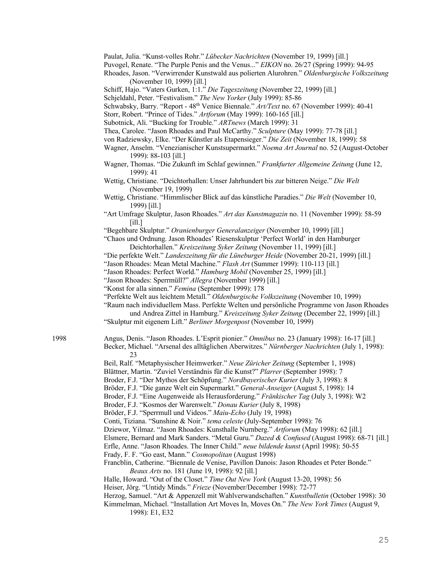Paulat, Julia. "Kunst-volles Rohr." *Lübecker Nachrichten* (November 19, 1999) [ill.]

Puvogel, Renate. "The Purple Penis and the Venus..." *EIKON* no. 26/27 (Spring 1999): 94-95

Rhoades, Jason. "Verwirrender Kunstwald aus polierten Alurohren." *Oldenburgische Volkszeitung* (November 10, 1999) [ill.]

- Schiff, Hajo. "Vaters Gurken, 1:1." *Die Tageszeitung* (November 22, 1999) [ill.]
- Schjeldahl, Peter. "Festivalism." *The New Yorker* (July 1999): 85-86
- Schwabsky, Barry. "Report 48th Venice Biennale." *Art/Text* no. 67 (November 1999): 40-41
- Storr, Robert. "Prince of Tides." *Artforum* (May 1999): 160-165 [ill.]
- Subotnick, Ali. "Bucking for Trouble." *ARTnews* (March 1999): 31
- Thea, Carolee. "Jason Rhoades and Paul McCarthy." *Sculpture* (May 1999): 77-78 [ill.]
- von Radziewsky, Elke. "Der Künstler als Etapensieger." *Die Zeit* (November 18, 1999): 58
- Wagner, Anselm. "Venezianischer Kunstsupermarkt." *Noema Art Journal* no. 52 (August-October 1999): 88-103 [ill.]
- Wagner, Thomas. "Die Zukunft im Schlaf gewinnen." *Frankfurter Allgemeine Zeitung* (June 12, 1999): 41
- Wettig, Christiane. "Deichtorhallen: Unser Jahrhundert bis zur bitteren Neige." *Die Welt* (November 19, 1999)
- Wettig, Christiane. "Himmlischer Blick auf das künstliche Paradies." *Die Welt* (November 10, 1999) [ill.]
- "Art Umfrage Skulptur, Jason Rhoades." *Art das Kunstmagazin* no. 11 (November 1999): 58-59 [ill.]
- "Begehbare Skulptur." *Oranienburger Generalanzeiger* (November 10, 1999) [ill.]

"Chaos und Ordnung. Jason Rhoades' Riesenskulptur 'Perfect World' in den Hamburger Deichtorhallen." *Kreiszeitung Syker Zeitung* (November 11, 1999) [ill.]

- "Die perfekte Welt." *Landeszeitung für die Lüneburger Heide* (November 20-21, 1999) [ill.]
- "Jason Rhoades: Mean Metal Machine." *Flash Art* (Summer 1999): 110-113 [ill.]
- "Jason Rhoades: Perfect World." *Hamburg Mobil* (November 25, 1999) [ill.]
- "Jason Rhoades: Sperrmüll?" *Allegra* (November 1999) [ill.]
- "Konst for alla sinnen." *Femina* (September 1999): 178
- "Perfekte Welt aus leichtem Metall*.*" *Oldenburgische Volkszeitung* (November 10, 1999)

"Raum nach individuellem Mass. Perfekte Welten und persönliche Programme von Jason Rhoades

und Andrea Zittel in Hamburg." *Kreiszeitung Syker Zeitung* (December 22, 1999) [ill.]

"Skulptur mit eigenem Lift." *Berliner Morgenpost* (November 10, 1999)

1998 Angus, Denis. "Jason Rhoades. L'Esprit pionier." *Omnibus* no. 23 (January 1998): 16-17 [ill.] Becker, Michael. "Arsenal des alltäglichen Aberwitzes." *Nürnberger Nachrichten* (July 1, 1998): 23

Beil, Ralf. "Metaphysischer Heimwerker." *Neue Züricher Zeitung* (September 1, 1998)

Blättner, Martin. "Zuviel Verständnis für die Kunst?" *Plarrer* (September 1998): 7

- Broder, F.J. "Der Mythos der Schöpfung." *Nordbayerischer Kurier* (July 3, 1998): 8
- Bröder, F.J. "Die ganze Welt ein Supermarkt." *General-Anseiger* (August 5, 1998): 14
- Broder, F.J. "Eine Augenweide als Herausforderung." *Fränkischer Tag* (July 3, 1998): W2

Broder, F.J. "Kosmos der Warenwelt." *Donau Kurier* (July 8, 1998)

- Bröder, F.J. "Sperrmull und Videos." *Maiu-Echo* (July 19, 1998)
- Conti, Tiziana. "Sunshine & Noir." *tema celeste* (July-September 1998): 76

Dziewor, Yilmaz. "Jason Rhoades: Kunsthalle Nurnberg." *Artforum* (May 1998): 62 [ill.]

- Elsmere, Bernard and Mark Sanders. "Metal Guru." *Dazed & Confused* (August 1998): 68-71 [ill.]
- Erfle, Anne. "Jason Rhoades. The Inner Child." *neue bildende kunst* (April 1998): 50-55
- Frady, F. F. "Go east, Mann." *Cosmopolitan* (August 1998)
- Francblin, Catherine. "Biennale de Venise, Pavillon Danois: Jason Rhoades et Peter Bonde." *Beaux Arts* no. 181 (June 19, 1998): 92 [ill.]
- Halle, Howard. "Out of the Closet." *Time Out New York* (August 13-20, 1998): 56
- Heiser, Jörg. "Untidy Minds." *Frieze* (November/December 1998): 72-77
- Herzog, Samuel. "Art & Appenzell mit Wahlverwandschaften." *Kunstbulletin* (October 1998): 30
- Kimmelman, Michael. "Installation Art Moves In, Moves On." *The New York Times* (August 9, 1998): E1, E32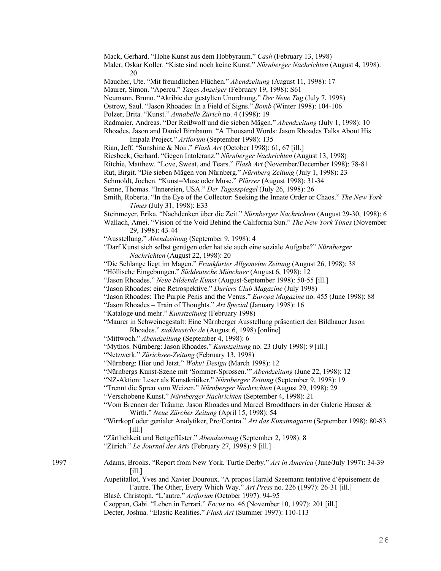Mack, Gerhard. "Hohe Kunst aus dem Hobbyraum." *Cash* (February 13, 1998) Maler, Oskar Koller. "Kiste sind noch keine Kunst." *Nürnberger Nachrichten* (August 4, 1998): 20 Maucher, Ute. "Mit freundlichen Flüchen." *Abendzeitung* (August 11, 1998): 17 Maurer, Simon. "Apercu." *Tages Anzeiger* (February 19, 1998): S61 Neumann, Bruno. "Akribie der gestylten Unordnung." *Der Neue Tag* (July 7, 1998) Ostrow, Saul. "Jason Rhoades: In a Field of Signs." *Bomb* (Winter 1998): 104-106 Polzer, Brita. "Kunst." *Annabelle Zürich* no. 4 (1998): 19 Radmaier, Andreas. "Der Reißwolf und die sieben Mägen." *Abendzeitung* (July 1, 1998): 10 Rhoades, Jason and Daniel Birnbaum. "A Thousand Words: Jason Rhoades Talks About His Impala Project." *Artforum* (September 1998): 135 Rian, Jeff. "Sunshine & Noir." *Flash Art* (October 1998): 61, 67 [ill.] Riesbeck, Gerhard. "Gegen Intoleranz." *Nürnberger Nachrichten* (August 13, 1998) Ritchie, Matthew. "Love, Sweat, and Tears." *Flash Art* (November/December 1998): 78-81 Rut, Birgit. "Die sieben Mägen von Nürnberg." *Nürnberg Zeitung* (July 1, 1998): 23 Schmoldt, Jochen. "Kunst=Muse oder Muse." *Plärrer* (August 1998): 31-34 Senne, Thomas. "Innereien, USA." *Der Tagesspiegel* (July 26, 1998): 26 Smith, Roberta. "In the Eye of the Collector: Seeking the Innate Order or Chaos." *The New York Times* (July 31, 1998): E33 Steinmeyer, Erika. "Nachdenken über die Zeit." *Nürnberger Nachrichten* (August 29-30, 1998): 6 Wallach, Amei. "Vision of the Void Behind the California Sun." *The New York Times* (November 29, 1998): 43-44 "Ausstellung." *Abendzeitung* (September 9, 1998): 4 "Darf Kunst sich selbst genügen oder hat sie auch eine soziale Aufgabe?" *Nürnberger Nachrichten* (August 22, 1998): 20 "Die Schlange liegt im Magen." *Frankfurter Allgemeine Zeitung* (August 26, 1998): 38 "Höllische Eingebungen." *Süddeutsche Münchner* (August 6, 1998): 12 "Jason Rhoades." *Neue bildende Kunst* (August-September 1998): 50-55 [ill.] "Jason Rhoades: eine Retrospektive." *Duriers Club Magazine* (July 1998) "Jason Rhoades: The Purple Penis and the Venus." *Europa Magazine* no. 455 (June 1998): 88 "Jason Rhoades – Train of Thoughts." *Art Spezial* (January 1998): 16 "Kataloge und mehr." *Kunstzeitung* (February 1998) "Maurer in Schweinegestalt: Eine Nürnberger Ausstellung präsentiert den Bildhauer Jason Rhoades." *suddeustche.de* (August 6, 1998) [online] "Mittwoch." *Abendzeitung* (September 4, 1998): 6 "Mythos. Nürnberg: Jason Rhoades." *Kunstzeitung* no. 23 (July 1998): 9 [ill.] "Netzwerk." *Zürichsee-Zeitung* (February 13, 1998) "Nürnberg: Hier und Jetzt." *Woku! Desigu* (March 1998): 12 "Nürnbergs Kunst-Szene mit 'Sommer-Sprossen.'" *Abendzeitung* (June 22, 1998): 12 "NZ-Aktion: Leser als Kunstkritiker." *Nürnberger Zeitung* (September 9, 1998): 19 "Trennt die Spreu vom Weizen." *Nürnberger Nachrichten* (August 29, 1998): 29 "Verschobene Kunst." *Nürnberger Nachrichten* (September 4, 1998): 21 "Vom Brennen der Träume. Jason Rhoades und Marcel Broodthaers in der Galerie Hauser & Wirth." *Neue Zürcher Zeitung* (April 15, 1998): 54 "Wirrkopf oder genialer Analytiker, Pro/Contra." *Art das Kunstmagazin* (September 1998): 80-83 [ill.] "Zärtlichkeit und Bettgeflüster." *Abendzeitung* (September 2, 1998): 8 "Zürich." *Le Journal des Arts* (February 27, 1998): 9 [ill.] 1997 Adams, Brooks. "Report from New York. Turtle Derby." *Art in America* (June/July 1997): 34-39 [ill.] Aupetitallot, Yves and Xavier Douroux. "A propos Harald Szeemann tentative d'épuisement de l'autre. The Other, Every Which Way." *Art Press* no. 226 (1997): 26-31 [ill.] Blasé, Christoph. "L'autre." *Artforum* (October 1997): 94-95 Czoppan, Gabi. "Leben in Ferrari." *Focus* no. 46 (November 10, 1997): 201 [ill.] Decter, Joshua. "Elastic Realities." *Flash Art* (Summer 1997): 110-113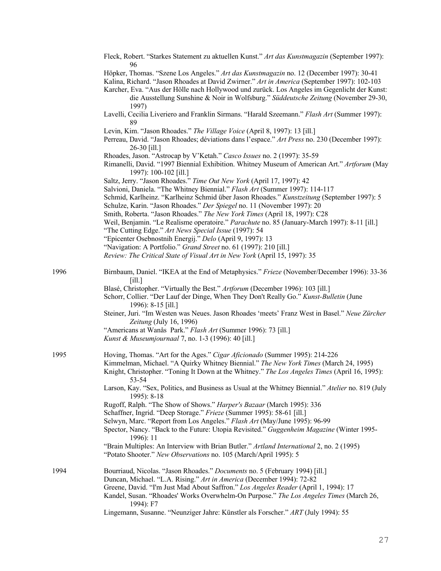|      | Fleck, Robert. "Starkes Statement zu aktuellen Kunst." Art das Kunstmagazin (September 1997):<br>96                                                                                                                                                                                                                                                                           |
|------|-------------------------------------------------------------------------------------------------------------------------------------------------------------------------------------------------------------------------------------------------------------------------------------------------------------------------------------------------------------------------------|
|      | Höpker, Thomas. "Szene Los Angeles." Art das Kunstmagazin no. 12 (December 1997): 30-41<br>Kalina, Richard. "Jason Rhoades at David Zwirner." Art in America (September 1997): 102-103<br>Karcher, Eva. "Aus der Hölle nach Hollywood und zurück. Los Angeles im Gegenlicht der Kunst:<br>die Ausstellung Sunshine & Noir in Wolfsburg." Süddeutsche Zeitung (November 29-30, |
|      | 1997)                                                                                                                                                                                                                                                                                                                                                                         |
|      | Lavelli, Cecilia Liveriero and Franklin Sirmans. "Harald Szeemann." Flash Art (Summer 1997):<br>89                                                                                                                                                                                                                                                                            |
|      | Levin, Kim. "Jason Rhoades." The Village Voice (April 8, 1997): 13 [ill.]<br>Perreau, David. "Jason Rhoades; déviations dans l'espace." Art Press no. 230 (December 1997):<br>26-30 [ill.]                                                                                                                                                                                    |
|      | Rhoades, Jason. "Astrocap by V'Ketah." Casco Issues no. 2 (1997): 35-59<br>Rimanelli, David. "1997 Biennial Exhibition. Whitney Museum of American Art." Artforum (May<br>1997): 100-102 [ill.]                                                                                                                                                                               |
|      | Saltz, Jerry. "Jason Rhoades." Time Out New York (April 17, 1997): 42<br>Salvioni, Daniela. "The Whitney Biennial." Flash Art (Summer 1997): 114-117<br>Schmid, Karlheinz. "Karlheinz Schmid über Jason Rhoades." Kunstzeitung (September 1997): 5<br>Schulze, Karin. "Jason Rhoades." Der Spiegel no. 11 (November 1997): 20                                                 |
|      | Smith, Roberta. "Jason Rhoades." The New York Times (April 18, 1997): C28<br>Weil, Benjamin. "Le Realisme operatoire." Parachute no. 85 (January-March 1997): 8-11 [ill.]<br>"The Cutting Edge." Art News Special Issue (1997): 54                                                                                                                                            |
|      | "Epicenter Osebnostnih Energij." Delo (April 9, 1997): 13<br>"Navigation: A Portfolio." Grand Street no. 61 (1997): 210 [ill.]                                                                                                                                                                                                                                                |
|      | Review: The Critical State of Visual Art in New York (April 15, 1997): 35                                                                                                                                                                                                                                                                                                     |
| 1996 | Birnbaum, Daniel. "IKEA at the End of Metaphysics." Frieze (November/December 1996): 33-36<br>[i]                                                                                                                                                                                                                                                                             |
|      | Blasé, Christopher. "Virtually the Best." Artforum (December 1996): 103 [ill.]<br>Schorr, Collier. "Der Lauf der Dinge, When They Don't Really Go." Kunst-Bulletin (June<br>1996): 8-15 [ill.]                                                                                                                                                                                |
|      | Steiner, Juri. "Im Westen was Neues. Jason Rhoades 'meets' Franz West in Basel." Neue Zürcher<br>Zeitung (July 16, 1996)                                                                                                                                                                                                                                                      |
|      | "Americans at Wanås Park." Flash Art (Summer 1996): 73 [ill.]<br>Kunst & Museumjournaal 7, no. 1-3 (1996): 40 [ill.]                                                                                                                                                                                                                                                          |
| 1995 | Hoving, Thomas. "Art for the Ages." Cigar Aficionado (Summer 1995): 214-226<br>Kimmelman, Michael. "A Quirky Whitney Biennial." The New York Times (March 24, 1995)<br>Knight, Christopher. "Toning It Down at the Whitney." The Los Angeles Times (April 16, 1995):<br>53-54                                                                                                 |
|      | Larson, Kay. "Sex, Politics, and Business as Usual at the Whitney Biennial." Atelier no. 819 (July<br>1995): 8-18                                                                                                                                                                                                                                                             |
|      | Rugoff, Ralph. "The Show of Shows." Harper's Bazaar (March 1995): 336<br>Schaffner, Ingrid. "Deep Storage." Frieze (Summer 1995): 58-61 [ill.]                                                                                                                                                                                                                                |
|      | Selwyn, Marc. "Report from Los Angeles." Flash Art (May/June 1995): 96-99<br>Spector, Nancy. "Back to the Future: Utopia Revisited." Guggenheim Magazine (Winter 1995-<br>1996): 11                                                                                                                                                                                           |
|      | "Brain Multiples: An Interview with Brian Butler." Artland International 2, no. 2 (1995)<br>"Potato Shooter." New Observations no. 105 (March/April 1995): 5                                                                                                                                                                                                                  |
| 1994 | Bourriaud, Nicolas. "Jason Rhoades." Documents no. 5 (February 1994) [ill.]                                                                                                                                                                                                                                                                                                   |
|      | Duncan, Michael. "L.A. Rising." Art in America (December 1994): 72-82<br>Greene, David. "I'm Just Mad About Saffron." Los Angeles Reader (April 1, 1994): 17                                                                                                                                                                                                                  |
|      | Kandel, Susan. "Rhoades' Works Overwhelm-On Purpose." The Los Angeles Times (March 26,<br>1994): F7                                                                                                                                                                                                                                                                           |
|      | Lingemann, Susanne. "Neunziger Jahre: Künstler als Forscher." ART (July 1994): 55                                                                                                                                                                                                                                                                                             |